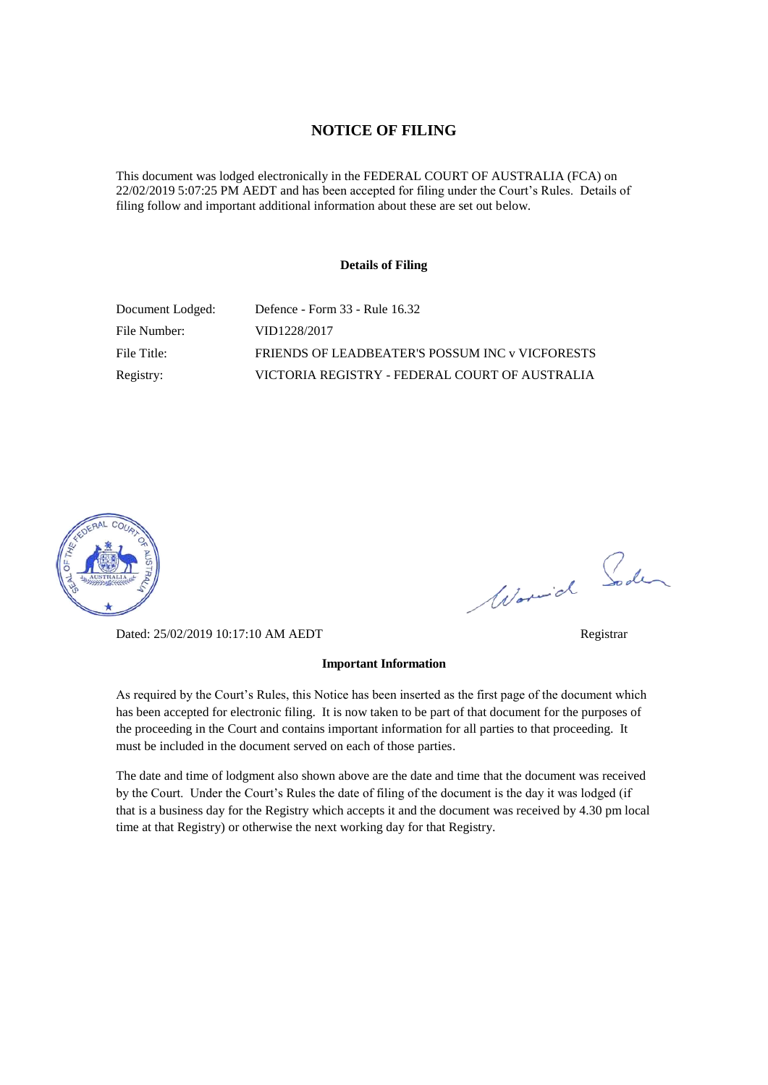### **NOTICE OF FILING**

This document was lodged electronically in the FEDERAL COURT OF AUSTRALIA (FCA) on 22/02/2019 5:07:25 PM AEDT and has been accepted for filing under the Court's Rules. Details of filing follow and important additional information about these are set out below.

#### **Details of Filing**

| Document Lodged: | Defence - Form 33 - Rule 16.32                  |
|------------------|-------------------------------------------------|
| File Number:     | VID1228/2017                                    |
| File Title:      | FRIENDS OF LEADBEATER'S POSSUM INC v VICFORESTS |
| Registry:        | VICTORIA REGISTRY - FEDERAL COURT OF AUSTRALIA  |



Worwich Soden

Dated: 25/02/2019 10:17:10 AM AEDT Registrar

As required by the Court's Rules, this Notice has been inserted as the first page of the document which has been accepted for electronic filing. It is now taken to be part of that document for the purposes of the proceeding in the Court and contains important information for all parties to that proceeding. It must be included in the document served on each of those parties.

**Important Information** 

The date and time of lodgment also shown above are the date and time that the document was received by the Court. Under the Court's Rules the date of filing of the document is the day it was lodged (if that is a business day for the Registry which accepts it and the document was received by 4.30 pm local time at that Registry) or otherwise the next working day for that Registry.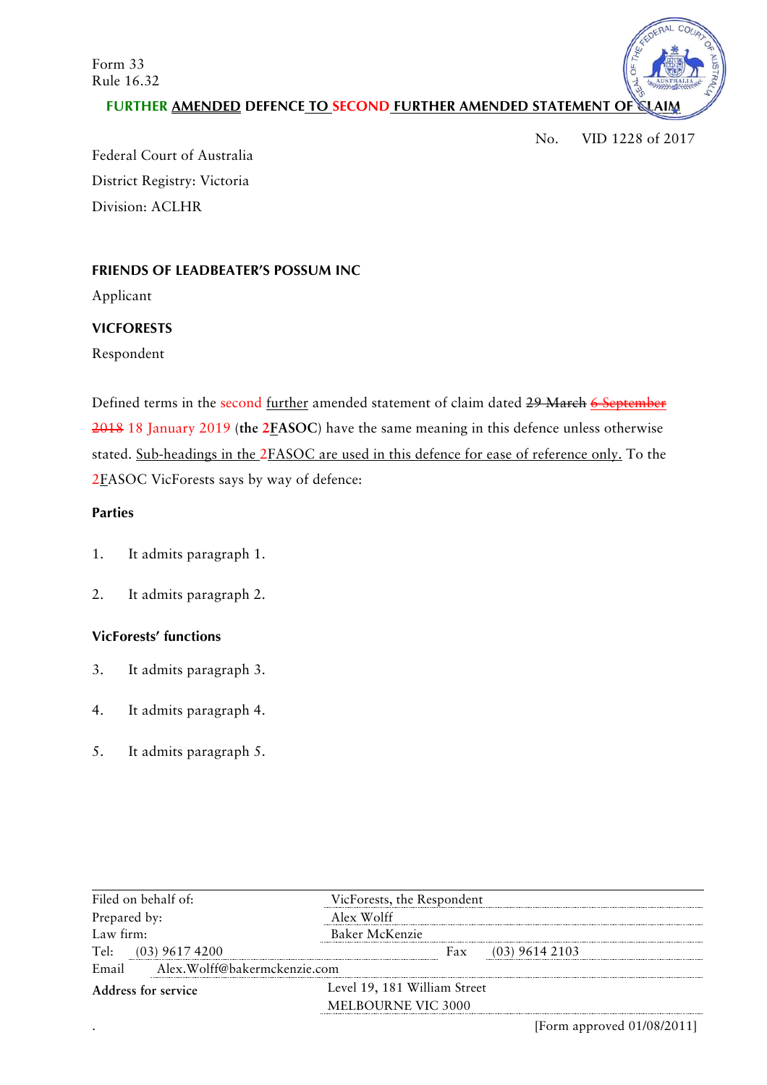Form 33 Rule 16.32



**FURTHER AMENDED DEFENCE TO SECOND FURTHER AMENDED STATEMENT OF** 

No. VID 1228 of 2017

Federal Court of Australia District Registry: Victoria Division: ACLHR

# **FRIENDS OF LEADBEATER'S POSSUM INC**

Applicant

# **VICFORESTS**

Respondent

Defined terms in the second further amended statement of claim dated 29 March 6 September 2018 18 January 2019 (**the 2FASOC**) have the same meaning in this defence unless otherwise stated. Sub-headings in the 2FASOC are used in this defence for ease of reference only. To the 2FASOC VicForests says by way of defence:

# **Parties**

- 1. It admits paragraph 1.
- 2. It admits paragraph 2.

# **VicForests' functions**

- 3. It admits paragraph 3.
- 4. It admits paragraph 4.
- 5. It admits paragraph 5.

| Filed on behalf of:                   | VicForests, the Respondent    |
|---------------------------------------|-------------------------------|
| Prepared by:                          | Alex Wolff                    |
| Law firm:                             | Baker McKenzie                |
| Tel: (03) 9617 4200                   | Fax<br>$(03)$ 9614 2103       |
| Alex.Wolff@bakermckenzie.com<br>Email |                               |
| Address for service                   | Level 19, 181 William Street  |
|                                       | <b>MELBOURNE VIC 3000</b>     |
|                                       | [Form approved $01/08/2011$ ] |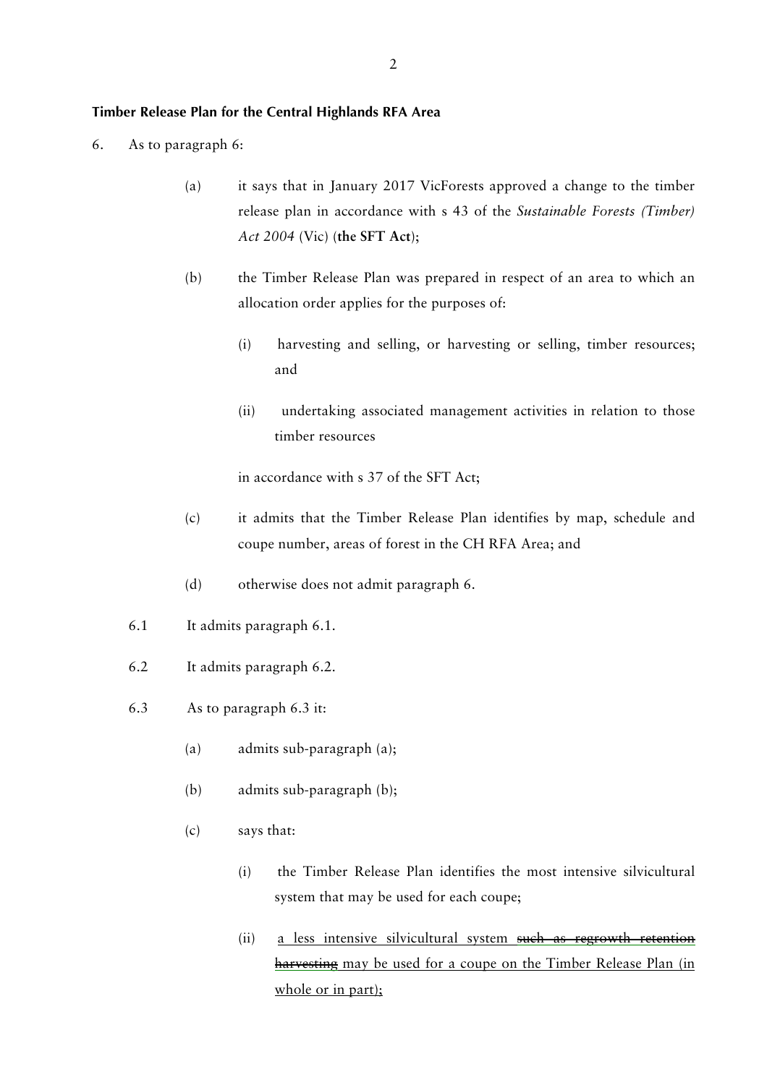#### **Timber Release Plan for the Central Highlands RFA Area**

- 6. As to paragraph 6:
	- (a) it says that in January 2017 VicForests approved a change to the timber release plan in accordance with s 43 of the *Sustainable Forests (Timber) Act 2004* (Vic) (**the SFT Act**);
	- (b) the Timber Release Plan was prepared in respect of an area to which an allocation order applies for the purposes of:
		- (i) harvesting and selling, or harvesting or selling, timber resources; and
		- (ii) undertaking associated management activities in relation to those timber resources

in accordance with s 37 of the SFT Act;

- (c) it admits that the Timber Release Plan identifies by map, schedule and coupe number, areas of forest in the CH RFA Area; and
- (d) otherwise does not admit paragraph 6.
- 6.1 It admits paragraph 6.1.
- 6.2 It admits paragraph 6.2.
- 6.3 As to paragraph 6.3 it:
	- (a) admits sub-paragraph (a);
	- (b) admits sub-paragraph (b);
	- (c) says that:
		- (i) the Timber Release Plan identifies the most intensive silvicultural system that may be used for each coupe;
		- (ii) a less intensive silvicultural system such as regrowth retention harvesting may be used for a coupe on the Timber Release Plan (in whole or in part);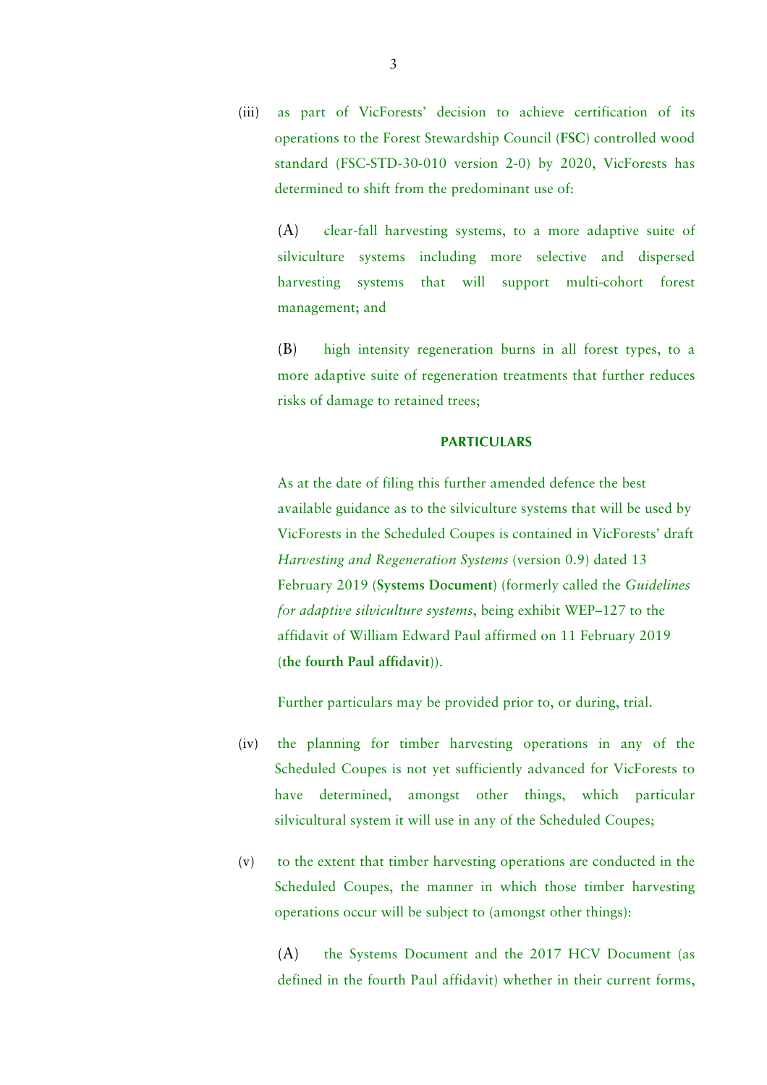(iii) as part of VicForests' decision to achieve certification of its operations to the Forest Stewardship Council (**FSC**) controlled wood standard (FSC-STD-30-010 version 2-0) by 2020, VicForests has determined to shift from the predominant use of:

(A) clear-fall harvesting systems, to a more adaptive suite of silviculture systems including more selective and dispersed harvesting systems that will support multi-cohort forest management; and

(B) high intensity regeneration burns in all forest types, to a more adaptive suite of regeneration treatments that further reduces risks of damage to retained trees;

#### **PARTICULARS**

As at the date of filing this further amended defence the best available guidance as to the silviculture systems that will be used by VicForests in the Scheduled Coupes is contained in VicForests' draft *Harvesting and Regeneration Systems* (version 0.9) dated 13 February 2019 (**Systems Document**) (formerly called the *Guidelines for adaptive silviculture systems*, being exhibit WEP–127 to the affidavit of William Edward Paul affirmed on 11 February 2019 (**the fourth Paul affidavit**)).

Further particulars may be provided prior to, or during, trial.

- (iv) the planning for timber harvesting operations in any of the Scheduled Coupes is not yet sufficiently advanced for VicForests to have determined, amongst other things, which particular silvicultural system it will use in any of the Scheduled Coupes;
- (v) to the extent that timber harvesting operations are conducted in the Scheduled Coupes, the manner in which those timber harvesting operations occur will be subject to (amongst other things):

(A) the Systems Document and the 2017 HCV Document (as defined in the fourth Paul affidavit) whether in their current forms,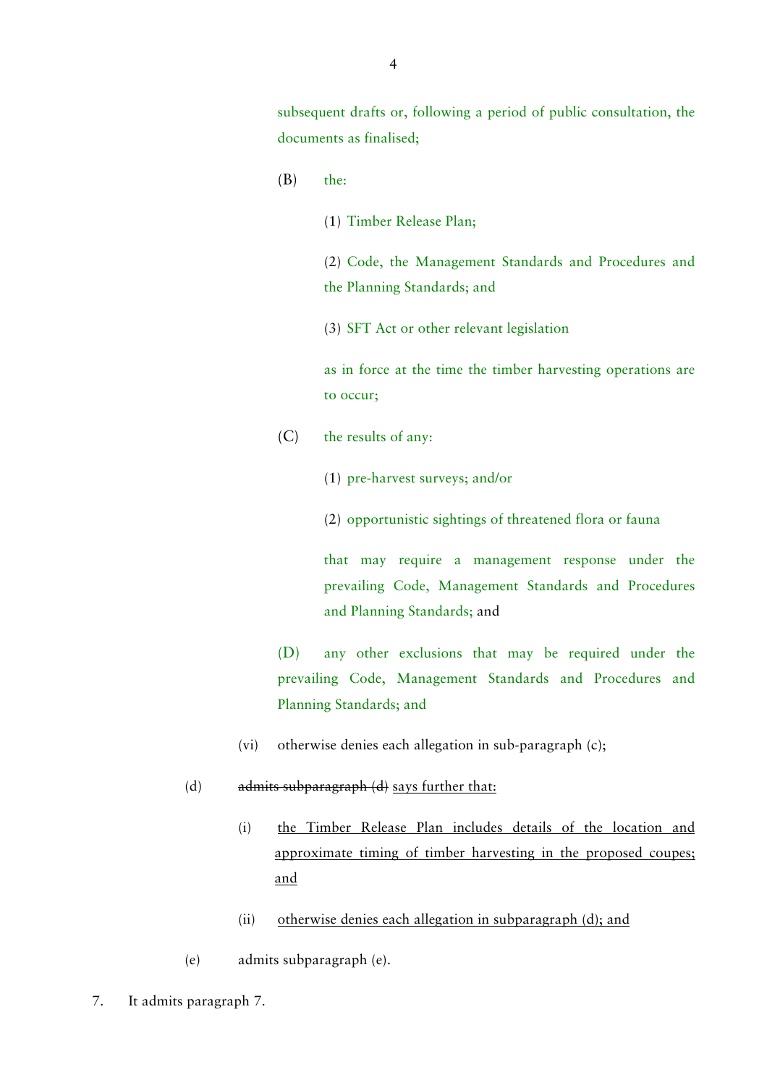subsequent drafts or, following a period of public consultation, the documents as finalised;

- (B) the:
	- (1) Timber Release Plan;

(2) Code, the Management Standards and Procedures and the Planning Standards; and

(3) SFT Act or other relevant legislation

as in force at the time the timber harvesting operations are to occur;

- (C) the results of any:
	- (1) pre-harvest surveys; and/or

(2) opportunistic sightings of threatened flora or fauna

that may require a management response under the prevailing Code, Management Standards and Procedures and Planning Standards; and

(D) any other exclusions that may be required under the prevailing Code, Management Standards and Procedures and Planning Standards; and

- (vi) otherwise denies each allegation in sub-paragraph (c);
- (d)  $admits subparagnb (d) says further that:$ 
	- (i) the Timber Release Plan includes details of the location and approximate timing of timber harvesting in the proposed coupes; and
	- (ii) otherwise denies each allegation in subparagraph (d); and
- (e) admits subparagraph (e).
- 7. It admits paragraph 7.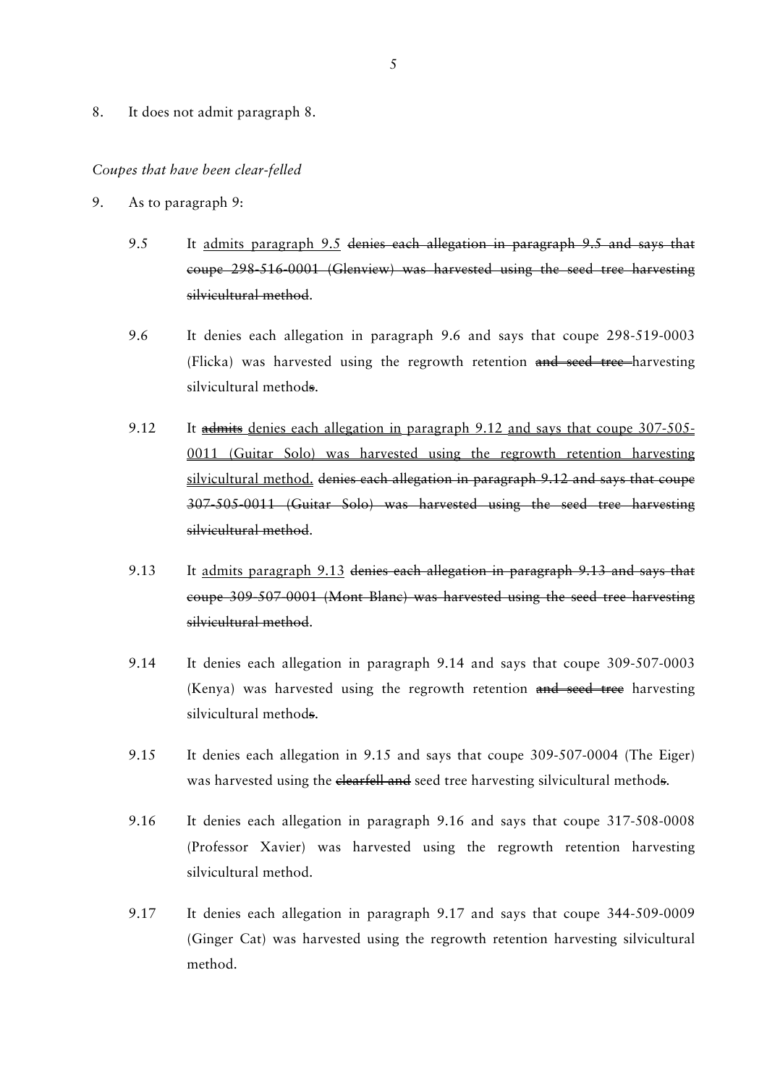8. It does not admit paragraph 8.

#### *Coupes that have been clear-felled*

- 9. As to paragraph 9:
	- 9.5 It admits paragraph 9.5 denies each allegation in paragraph 9.5 and says that coupe 298-516-0001 (Glenview) was harvested using the seed tree harvesting silvicultural method.
	- 9.6 It denies each allegation in paragraph 9.6 and says that coupe 298-519-0003 (Flicka) was harvested using the regrowth retention and seed tree harvesting silvicultural methods.
	- 9.12 It admits denies each allegation in paragraph 9.12 and says that coupe 307-505-0011 (Guitar Solo) was harvested using the regrowth retention harvesting silvicultural method. denies each allegation in paragraph 9.12 and says that coupe 307-505-0011 (Guitar Solo) was harvested using the seed tree harvesting silvicultural method.
	- 9.13 It admits paragraph 9.13 denies each allegation in paragraph 9.13 and says that coupe 309-507-0001 (Mont Blanc) was harvested using the seed tree harvesting silvicultural method.
	- 9.14 It denies each allegation in paragraph 9.14 and says that coupe 309-507-0003 (Kenya) was harvested using the regrowth retention and seed tree harvesting silvicultural methods.
	- 9.15 It denies each allegation in 9.15 and says that coupe 309-507-0004 (The Eiger) was harvested using the elearfell and seed tree harvesting silvicultural methods.
	- 9.16 It denies each allegation in paragraph 9.16 and says that coupe 317-508-0008 (Professor Xavier) was harvested using the regrowth retention harvesting silvicultural method.
	- 9.17 It denies each allegation in paragraph 9.17 and says that coupe 344-509-0009 (Ginger Cat) was harvested using the regrowth retention harvesting silvicultural method.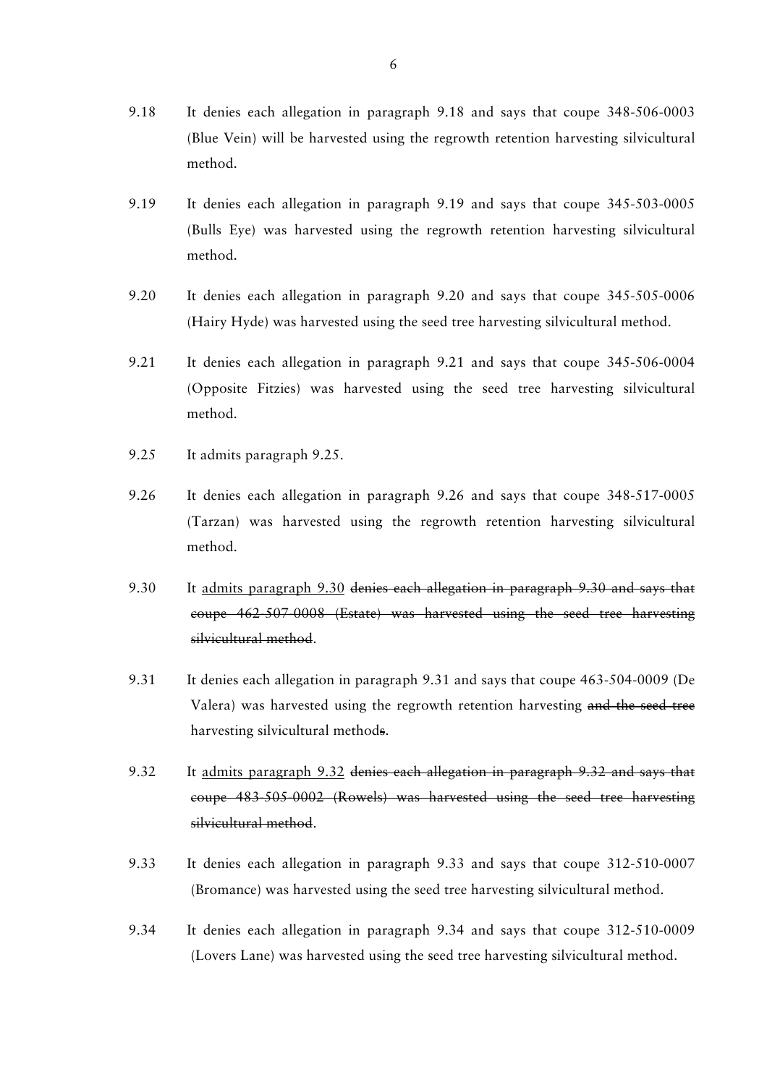- 9.18 It denies each allegation in paragraph 9.18 and says that coupe 348-506-0003 (Blue Vein) will be harvested using the regrowth retention harvesting silvicultural method.
- 9.19 It denies each allegation in paragraph 9.19 and says that coupe 345-503-0005 (Bulls Eye) was harvested using the regrowth retention harvesting silvicultural method.
- 9.20 It denies each allegation in paragraph 9.20 and says that coupe 345-505-0006 (Hairy Hyde) was harvested using the seed tree harvesting silvicultural method.
- 9.21 It denies each allegation in paragraph 9.21 and says that coupe 345-506-0004 (Opposite Fitzies) was harvested using the seed tree harvesting silvicultural method.
- 9.25 It admits paragraph 9.25.
- 9.26 It denies each allegation in paragraph 9.26 and says that coupe 348-517-0005 (Tarzan) was harvested using the regrowth retention harvesting silvicultural method.
- 9.30 It admits paragraph 9.30 denies each allegation in paragraph 9.30 and says that coupe 462-507-0008 (Estate) was harvested using the seed tree harvesting silvicultural method.
- 9.31 It denies each allegation in paragraph 9.31 and says that coupe 463-504-0009 (De Valera) was harvested using the regrowth retention harvesting and the seed tree harvesting silvicultural methods.
- 9.32 It admits paragraph 9.32 denies each allegation in paragraph 9.32 and says that coupe 483-505-0002 (Rowels) was harvested using the seed tree harvesting silvicultural method.
- 9.33 It denies each allegation in paragraph 9.33 and says that coupe 312-510-0007 (Bromance) was harvested using the seed tree harvesting silvicultural method.
- 9.34 It denies each allegation in paragraph 9.34 and says that coupe 312-510-0009 (Lovers Lane) was harvested using the seed tree harvesting silvicultural method.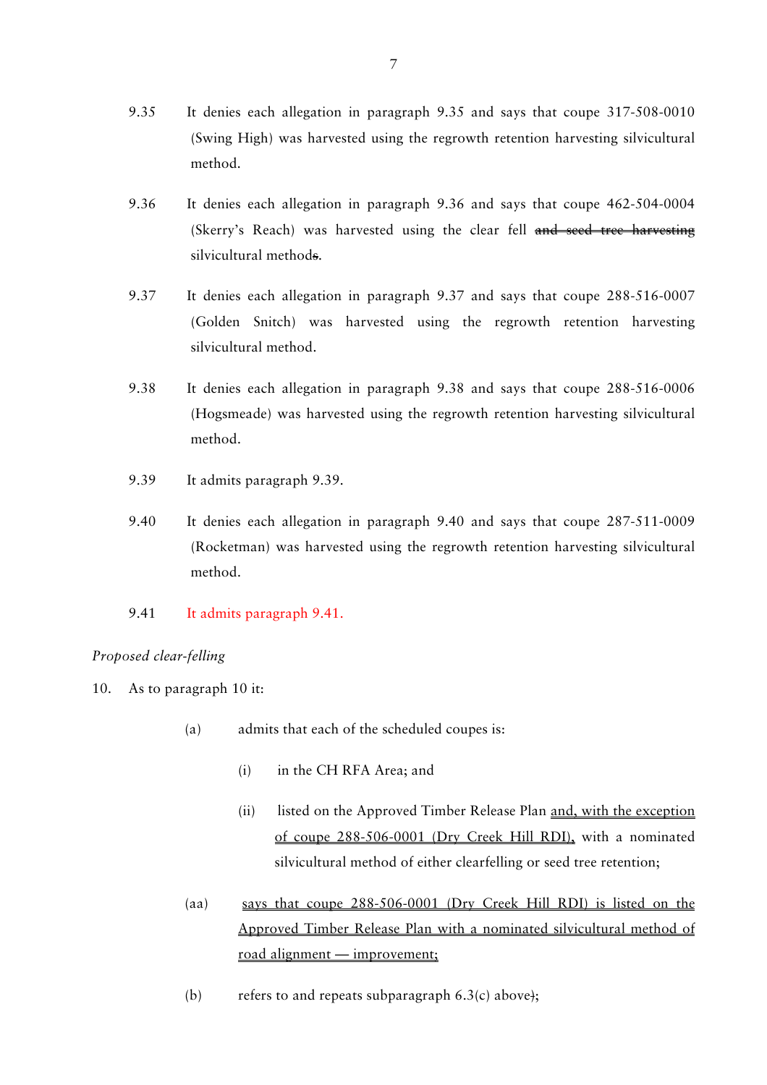- 9.35 It denies each allegation in paragraph 9.35 and says that coupe 317-508-0010 (Swing High) was harvested using the regrowth retention harvesting silvicultural method.
- 9.36 It denies each allegation in paragraph 9.36 and says that coupe 462-504-0004 (Skerry's Reach) was harvested using the clear fell and seed tree harvesting silvicultural methods.
- 9.37 It denies each allegation in paragraph 9.37 and says that coupe 288-516-0007 (Golden Snitch) was harvested using the regrowth retention harvesting silvicultural method.
- 9.38 It denies each allegation in paragraph 9.38 and says that coupe 288-516-0006 (Hogsmeade) was harvested using the regrowth retention harvesting silvicultural method.
- 9.39 It admits paragraph 9.39.
- 9.40 It denies each allegation in paragraph 9.40 and says that coupe 287-511-0009 (Rocketman) was harvested using the regrowth retention harvesting silvicultural method.
- 9.41 It admits paragraph 9.41.

# *Proposed clear-felling*

- 10. As to paragraph 10 it:
	- (a) admits that each of the scheduled coupes is:
		- (i) in the CH RFA Area; and
		- (ii) listed on the Approved Timber Release Plan and, with the exception of coupe 288-506-0001 (Dry Creek Hill RDI), with a nominated silvicultural method of either clearfelling or seed tree retention;
	- (aa) says that coupe 288-506-0001 (Dry Creek Hill RDI) is listed on the Approved Timber Release Plan with a nominated silvicultural method of road alignment — improvement;
	- (b) refers to and repeats subparagraph  $6.3(c)$  above);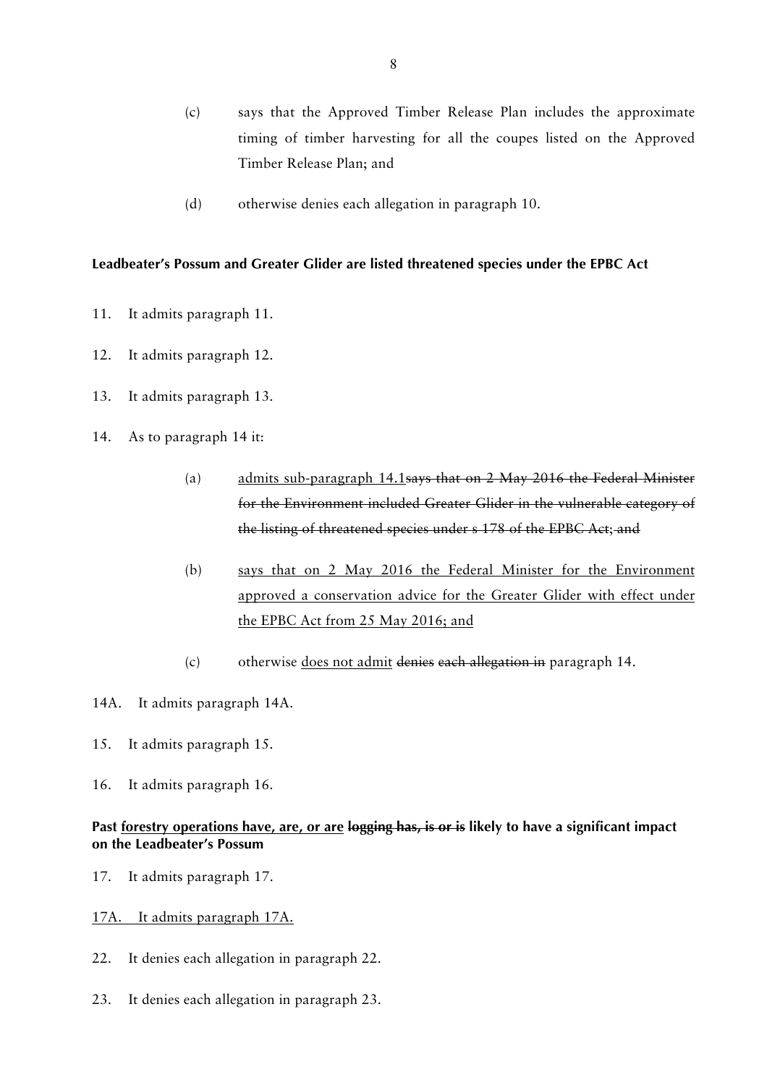- (c) says that the Approved Timber Release Plan includes the approximate timing of timber harvesting for all the coupes listed on the Approved Timber Release Plan; and
- (d) otherwise denies each allegation in paragraph 10.

### **Leadbeater's Possum and Greater Glider are listed threatened species under the EPBC Act**

- 11. It admits paragraph 11.
- 12. It admits paragraph 12.
- 13. It admits paragraph 13.
- 14. As to paragraph 14 it:
	- (a) admits sub-paragraph 14.1says that on 2 May 2016 the Federal Minister for the Environment included Greater Glider in the vulnerable category of the listing of threatened species under s 178 of the EPBC Act; and
	- (b) says that on 2 May 2016 the Federal Minister for the Environment approved a conservation advice for the Greater Glider with effect under the EPBC Act from 25 May 2016; and
	- (c) otherwise does not admit denies each allegation in paragraph 14.
- 14A. It admits paragraph 14A.
- 15. It admits paragraph 15.
- 16. It admits paragraph 16.

# **Past forestry operations have, are, or are logging has, is or is likely to have a significant impact on the Leadbeater's Possum**

- 17. It admits paragraph 17.
- 17A. It admits paragraph 17A.
- 22. It denies each allegation in paragraph 22.
- 23. It denies each allegation in paragraph 23.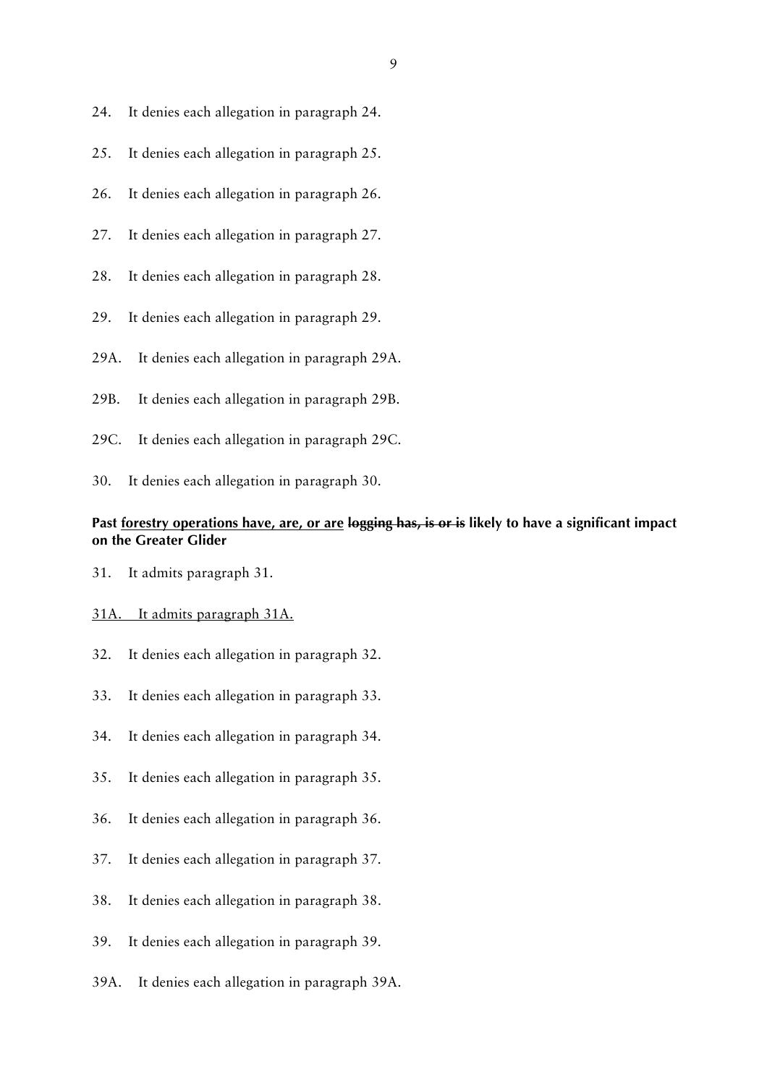- 24. It denies each allegation in paragraph 24.
- 25. It denies each allegation in paragraph 25.
- 26. It denies each allegation in paragraph 26.
- 27. It denies each allegation in paragraph 27.
- 28. It denies each allegation in paragraph 28.
- 29. It denies each allegation in paragraph 29.
- 29A. It denies each allegation in paragraph 29A.
- 29B. It denies each allegation in paragraph 29B.
- 29C. It denies each allegation in paragraph 29C.
- 30. It denies each allegation in paragraph 30.

# **Past forestry operations have, are, or are logging has, is or is likely to have a significant impact on the Greater Glider**

31. It admits paragraph 31.

### 31A. It admits paragraph 31A.

- 32. It denies each allegation in paragraph 32.
- 33. It denies each allegation in paragraph 33.
- 34. It denies each allegation in paragraph 34.
- 35. It denies each allegation in paragraph 35.
- 36. It denies each allegation in paragraph 36.
- 37. It denies each allegation in paragraph 37.
- 38. It denies each allegation in paragraph 38.
- 39. It denies each allegation in paragraph 39.
- 39A. It denies each allegation in paragraph 39A.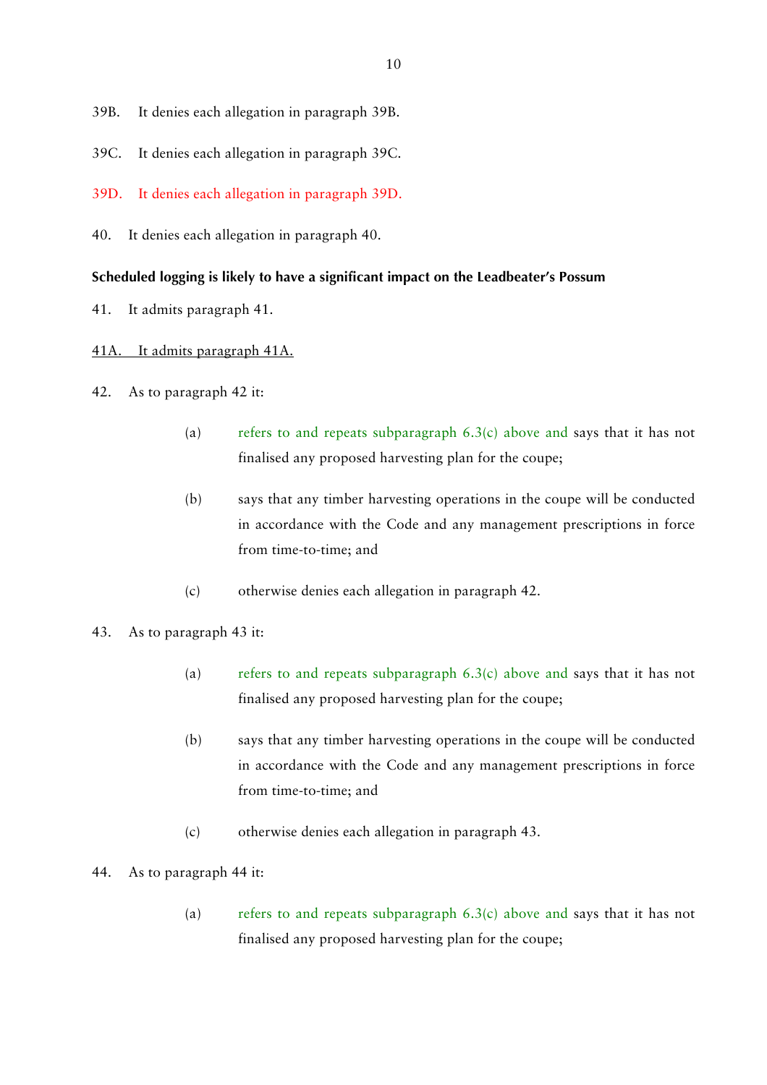- 39B. It denies each allegation in paragraph 39B.
- 39C. It denies each allegation in paragraph 39C.
- 39D. It denies each allegation in paragraph 39D.
- 40. It denies each allegation in paragraph 40.

#### **Scheduled logging is likely to have a significant impact on the Leadbeater's Possum**

41. It admits paragraph 41.

### 41A. It admits paragraph 41A.

- 42. As to paragraph 42 it:
	- (a) refers to and repeats subparagraph 6.3(c) above and says that it has not finalised any proposed harvesting plan for the coupe;
	- (b) says that any timber harvesting operations in the coupe will be conducted in accordance with the Code and any management prescriptions in force from time-to-time; and
	- (c) otherwise denies each allegation in paragraph 42.
- 43. As to paragraph 43 it:
	- (a) refers to and repeats subparagraph  $6.3(c)$  above and says that it has not finalised any proposed harvesting plan for the coupe;
	- (b) says that any timber harvesting operations in the coupe will be conducted in accordance with the Code and any management prescriptions in force from time-to-time; and
	- (c) otherwise denies each allegation in paragraph 43.
- 44. As to paragraph 44 it:
	- (a) refers to and repeats subparagraph  $6.3(c)$  above and says that it has not finalised any proposed harvesting plan for the coupe;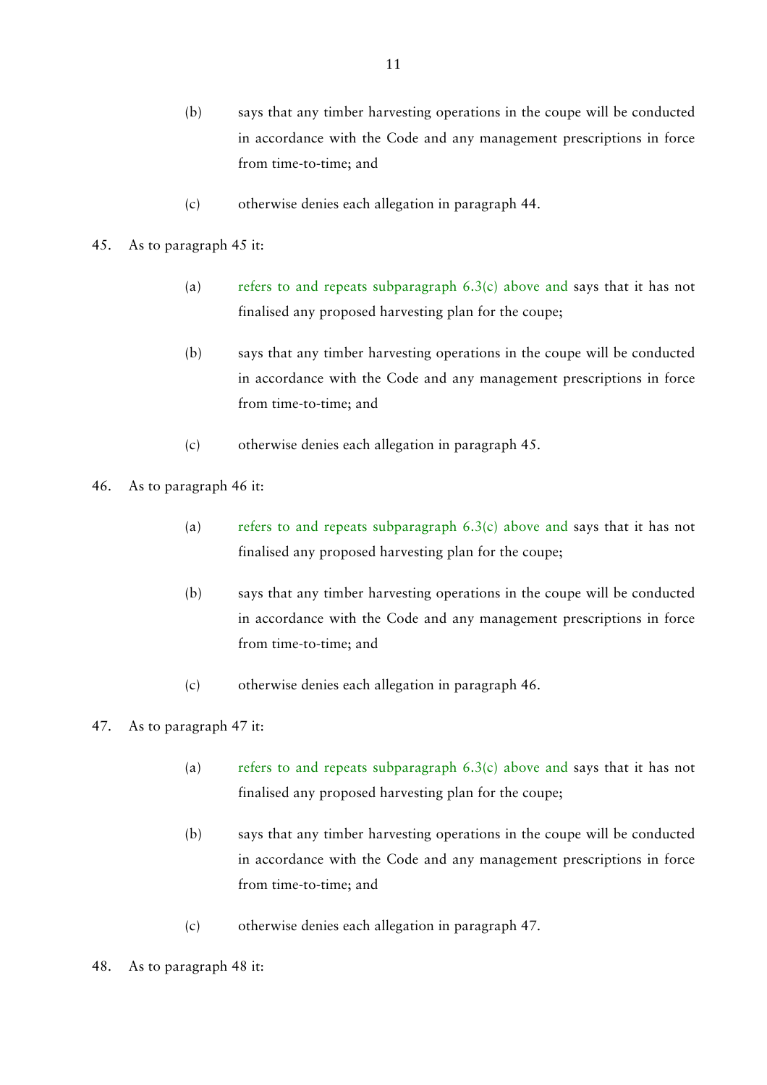- (b) says that any timber harvesting operations in the coupe will be conducted in accordance with the Code and any management prescriptions in force from time-to-time; and
- (c) otherwise denies each allegation in paragraph 44.

### 45. As to paragraph 45 it:

- (a) refers to and repeats subparagraph  $6.3(c)$  above and says that it has not finalised any proposed harvesting plan for the coupe;
- (b) says that any timber harvesting operations in the coupe will be conducted in accordance with the Code and any management prescriptions in force from time-to-time; and
- (c) otherwise denies each allegation in paragraph 45.
- 46. As to paragraph 46 it:
	- (a) refers to and repeats subparagraph  $6.3(c)$  above and says that it has not finalised any proposed harvesting plan for the coupe;
	- (b) says that any timber harvesting operations in the coupe will be conducted in accordance with the Code and any management prescriptions in force from time-to-time; and
	- (c) otherwise denies each allegation in paragraph 46.

# 47. As to paragraph 47 it:

- (a) refers to and repeats subparagraph  $6.3(c)$  above and says that it has not finalised any proposed harvesting plan for the coupe;
- (b) says that any timber harvesting operations in the coupe will be conducted in accordance with the Code and any management prescriptions in force from time-to-time; and
- (c) otherwise denies each allegation in paragraph 47.
- 48. As to paragraph 48 it: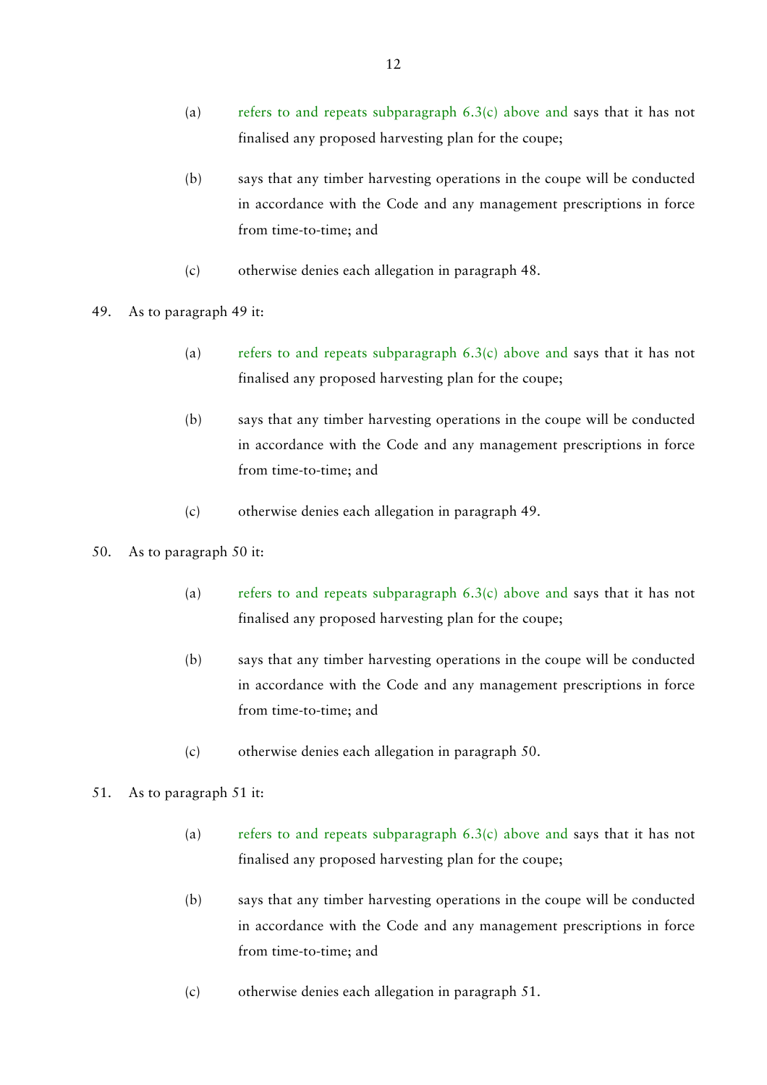- (a) refers to and repeats subparagraph  $6.3(c)$  above and says that it has not finalised any proposed harvesting plan for the coupe;
- (b) says that any timber harvesting operations in the coupe will be conducted in accordance with the Code and any management prescriptions in force from time-to-time; and
- (c) otherwise denies each allegation in paragraph 48.
- 49. As to paragraph 49 it:
	- (a) refers to and repeats subparagraph  $6.3(c)$  above and says that it has not finalised any proposed harvesting plan for the coupe;
	- (b) says that any timber harvesting operations in the coupe will be conducted in accordance with the Code and any management prescriptions in force from time-to-time; and
	- (c) otherwise denies each allegation in paragraph 49.
- 50. As to paragraph 50 it:
	- (a) refers to and repeats subparagraph  $6.3(c)$  above and says that it has not finalised any proposed harvesting plan for the coupe;
	- (b) says that any timber harvesting operations in the coupe will be conducted in accordance with the Code and any management prescriptions in force from time-to-time; and
	- (c) otherwise denies each allegation in paragraph 50.
- 51. As to paragraph 51 it:
	- (a) refers to and repeats subparagraph  $6.3(c)$  above and says that it has not finalised any proposed harvesting plan for the coupe;
	- (b) says that any timber harvesting operations in the coupe will be conducted in accordance with the Code and any management prescriptions in force from time-to-time; and
	- (c) otherwise denies each allegation in paragraph 51.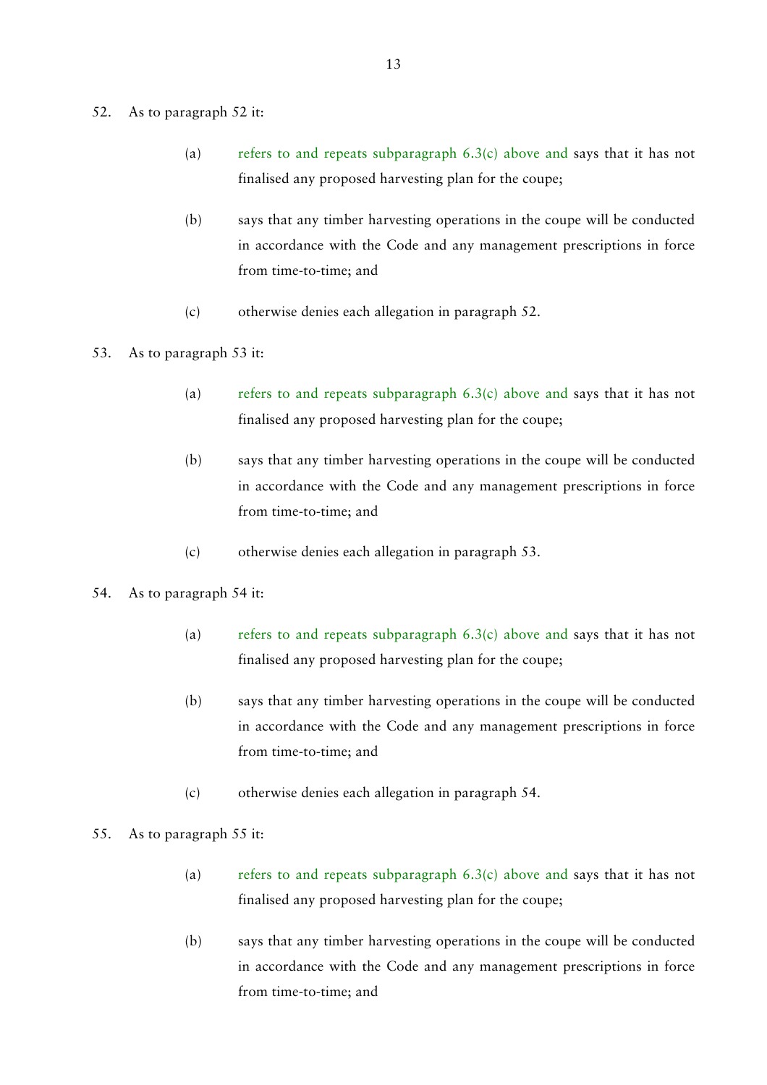#### 52. As to paragraph 52 it:

- (a) refers to and repeats subparagraph  $6.3(c)$  above and says that it has not finalised any proposed harvesting plan for the coupe;
- (b) says that any timber harvesting operations in the coupe will be conducted in accordance with the Code and any management prescriptions in force from time-to-time; and
- (c) otherwise denies each allegation in paragraph 52.
- 53. As to paragraph 53 it:
	- (a) refers to and repeats subparagraph  $6.3(c)$  above and says that it has not finalised any proposed harvesting plan for the coupe;
	- (b) says that any timber harvesting operations in the coupe will be conducted in accordance with the Code and any management prescriptions in force from time-to-time; and
	- (c) otherwise denies each allegation in paragraph 53.
- 54. As to paragraph 54 it:
	- (a) refers to and repeats subparagraph  $6.3(c)$  above and says that it has not finalised any proposed harvesting plan for the coupe;
	- (b) says that any timber harvesting operations in the coupe will be conducted in accordance with the Code and any management prescriptions in force from time-to-time; and
	- (c) otherwise denies each allegation in paragraph 54.
- 55. As to paragraph 55 it:
	- (a) refers to and repeats subparagraph  $6.3(c)$  above and says that it has not finalised any proposed harvesting plan for the coupe;
	- (b) says that any timber harvesting operations in the coupe will be conducted in accordance with the Code and any management prescriptions in force from time-to-time; and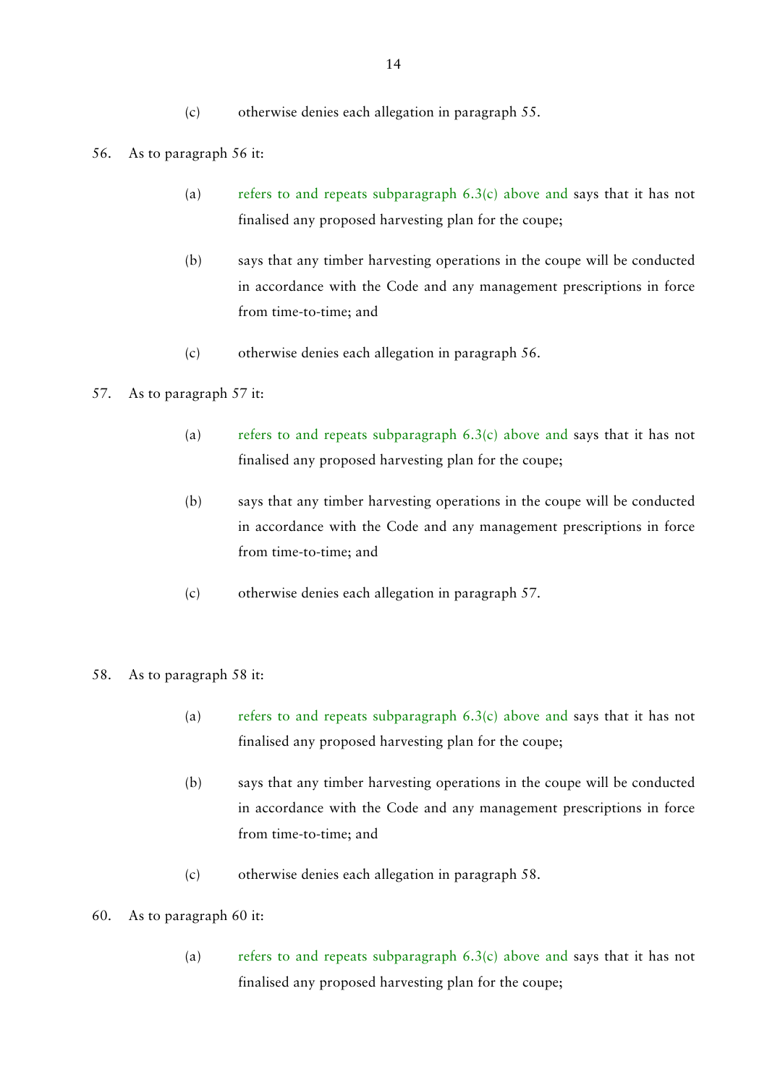- (c) otherwise denies each allegation in paragraph 55.
- 56. As to paragraph 56 it:
	- (a) refers to and repeats subparagraph  $6.3(c)$  above and says that it has not finalised any proposed harvesting plan for the coupe;
	- (b) says that any timber harvesting operations in the coupe will be conducted in accordance with the Code and any management prescriptions in force from time-to-time; and
	- (c) otherwise denies each allegation in paragraph 56.

# 57. As to paragraph 57 it:

- (a) refers to and repeats subparagraph  $6.3(c)$  above and says that it has not finalised any proposed harvesting plan for the coupe;
- (b) says that any timber harvesting operations in the coupe will be conducted in accordance with the Code and any management prescriptions in force from time-to-time; and
- (c) otherwise denies each allegation in paragraph 57.

### 58. As to paragraph 58 it:

- (a) refers to and repeats subparagraph  $6.3(c)$  above and says that it has not finalised any proposed harvesting plan for the coupe;
- (b) says that any timber harvesting operations in the coupe will be conducted in accordance with the Code and any management prescriptions in force from time-to-time; and
- (c) otherwise denies each allegation in paragraph 58.

# 60. As to paragraph 60 it:

(a) refers to and repeats subparagraph  $6.3(c)$  above and says that it has not finalised any proposed harvesting plan for the coupe;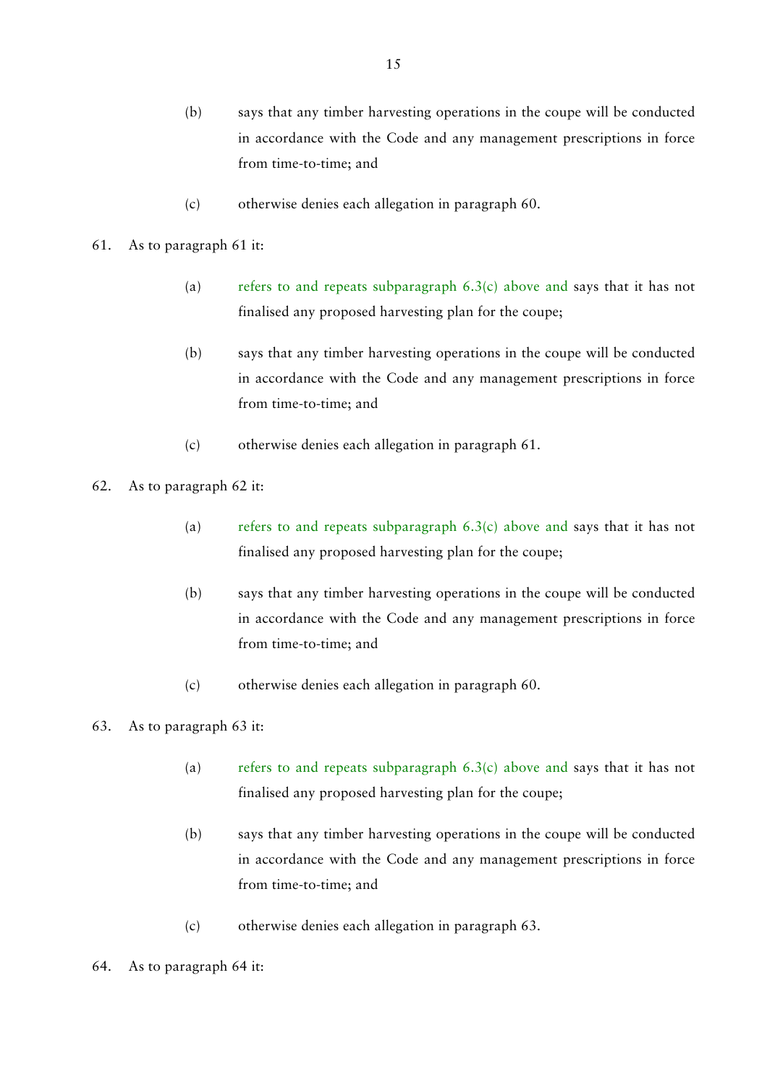- (b) says that any timber harvesting operations in the coupe will be conducted in accordance with the Code and any management prescriptions in force from time-to-time; and
- (c) otherwise denies each allegation in paragraph 60.
- 61. As to paragraph 61 it:
	- (a) refers to and repeats subparagraph  $6.3(c)$  above and says that it has not finalised any proposed harvesting plan for the coupe;
	- (b) says that any timber harvesting operations in the coupe will be conducted in accordance with the Code and any management prescriptions in force from time-to-time; and
	- (c) otherwise denies each allegation in paragraph 61.
- 62. As to paragraph 62 it:
	- (a) refers to and repeats subparagraph  $6.3(c)$  above and says that it has not finalised any proposed harvesting plan for the coupe;
	- (b) says that any timber harvesting operations in the coupe will be conducted in accordance with the Code and any management prescriptions in force from time-to-time; and
	- (c) otherwise denies each allegation in paragraph 60.

# 63. As to paragraph 63 it:

- (a) refers to and repeats subparagraph  $6.3(c)$  above and says that it has not finalised any proposed harvesting plan for the coupe;
- (b) says that any timber harvesting operations in the coupe will be conducted in accordance with the Code and any management prescriptions in force from time-to-time; and
- (c) otherwise denies each allegation in paragraph 63.
- 64. As to paragraph 64 it: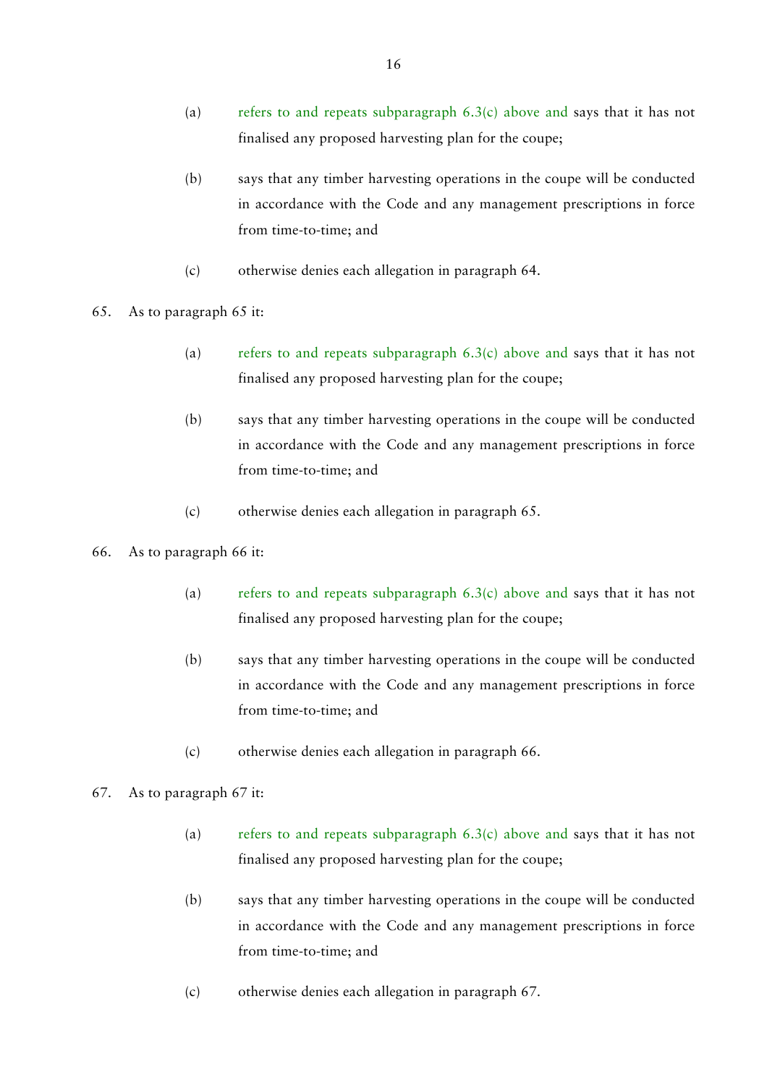- (a) refers to and repeats subparagraph  $6.3(c)$  above and says that it has not finalised any proposed harvesting plan for the coupe;
- (b) says that any timber harvesting operations in the coupe will be conducted in accordance with the Code and any management prescriptions in force from time-to-time; and
- (c) otherwise denies each allegation in paragraph 64.
- 65. As to paragraph 65 it:
	- (a) refers to and repeats subparagraph  $6.3(c)$  above and says that it has not finalised any proposed harvesting plan for the coupe;
	- (b) says that any timber harvesting operations in the coupe will be conducted in accordance with the Code and any management prescriptions in force from time-to-time; and
	- (c) otherwise denies each allegation in paragraph 65.

#### 66. As to paragraph 66 it:

- (a) refers to and repeats subparagraph  $6.3(c)$  above and says that it has not finalised any proposed harvesting plan for the coupe;
- (b) says that any timber harvesting operations in the coupe will be conducted in accordance with the Code and any management prescriptions in force from time-to-time; and
- (c) otherwise denies each allegation in paragraph 66.

#### 67. As to paragraph 67 it:

- (a) refers to and repeats subparagraph  $6.3(c)$  above and says that it has not finalised any proposed harvesting plan for the coupe;
- (b) says that any timber harvesting operations in the coupe will be conducted in accordance with the Code and any management prescriptions in force from time-to-time; and
- (c) otherwise denies each allegation in paragraph 67.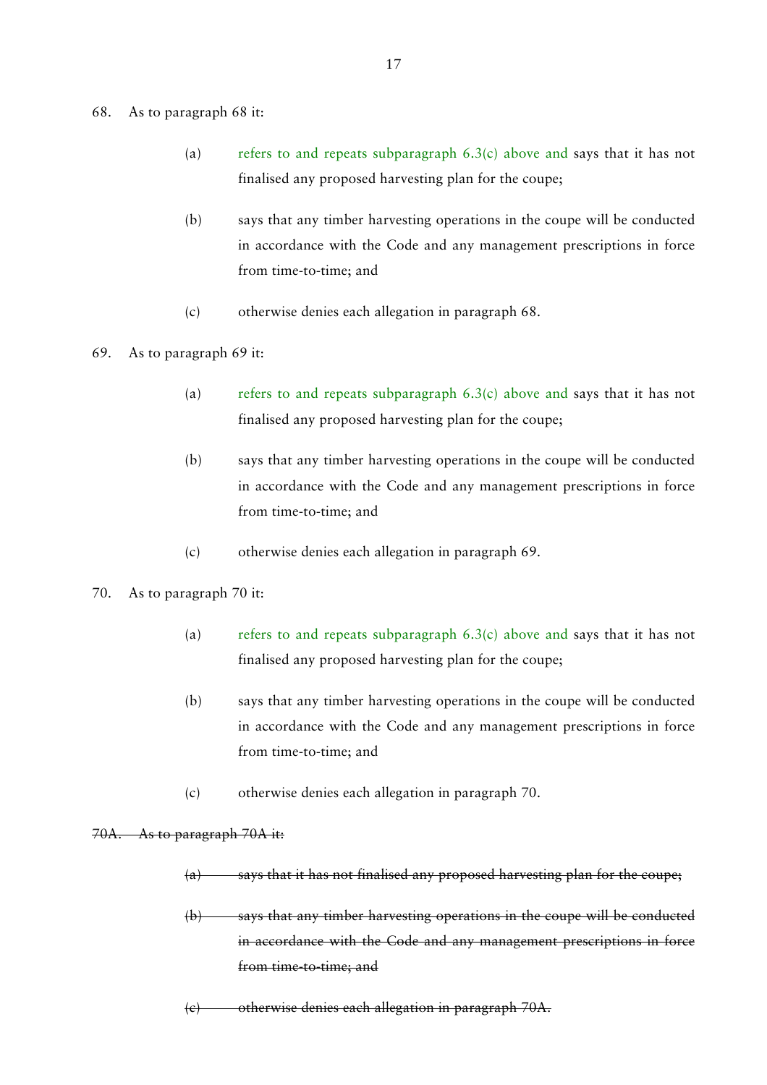#### 68. As to paragraph 68 it:

- (a) refers to and repeats subparagraph  $6.3(c)$  above and says that it has not finalised any proposed harvesting plan for the coupe;
- (b) says that any timber harvesting operations in the coupe will be conducted in accordance with the Code and any management prescriptions in force from time-to-time; and
- (c) otherwise denies each allegation in paragraph 68.
- 69. As to paragraph 69 it:
	- (a) refers to and repeats subparagraph  $6.3(c)$  above and says that it has not finalised any proposed harvesting plan for the coupe;
	- (b) says that any timber harvesting operations in the coupe will be conducted in accordance with the Code and any management prescriptions in force from time-to-time; and
	- (c) otherwise denies each allegation in paragraph 69.
- 70. As to paragraph 70 it:
	- (a) refers to and repeats subparagraph  $6.3(c)$  above and says that it has not finalised any proposed harvesting plan for the coupe;
	- (b) says that any timber harvesting operations in the coupe will be conducted in accordance with the Code and any management prescriptions in force from time-to-time; and
	- (c) otherwise denies each allegation in paragraph 70.

### 70A. As to paragraph 70A it:

- $(a)$  says that it has not finalised any proposed harvesting plan for the coupe;
- (b) says that any timber harvesting operations in the coupe will be conducted in accordance with the Code and any management prescriptions in force from time to time; and
- (c) otherwise denies each allegation in paragraph 70A.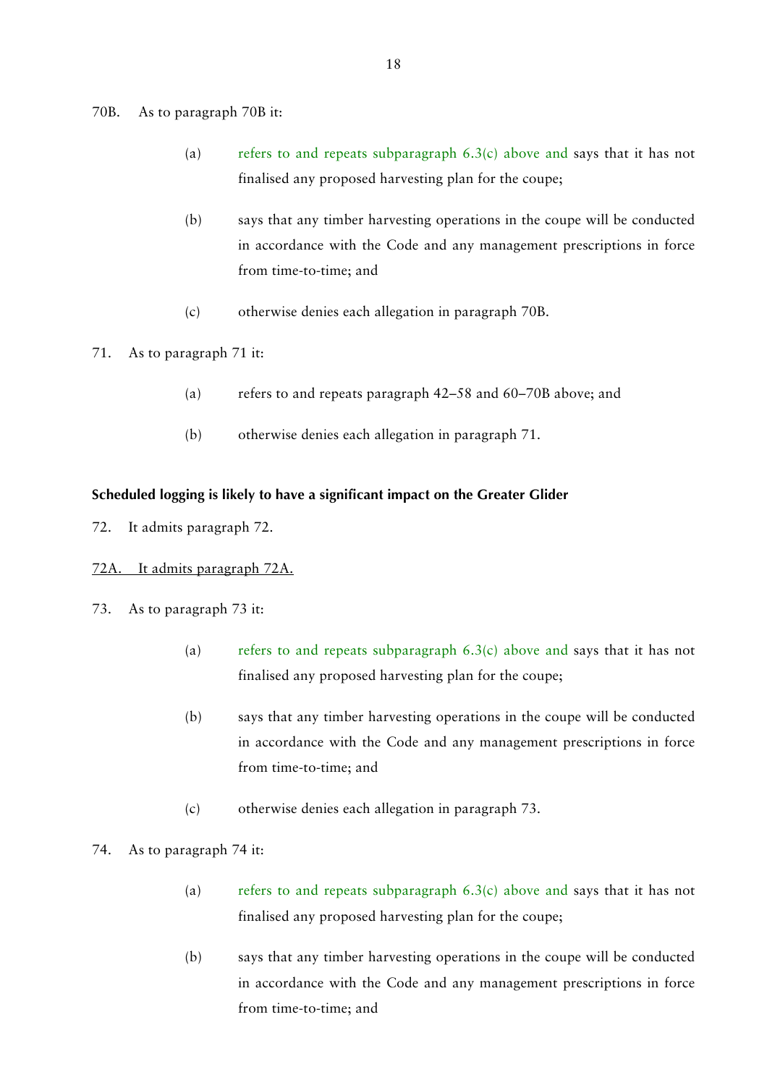70B. As to paragraph 70B it:

- (a) refers to and repeats subparagraph  $6.3(c)$  above and says that it has not finalised any proposed harvesting plan for the coupe;
- (b) says that any timber harvesting operations in the coupe will be conducted in accordance with the Code and any management prescriptions in force from time-to-time; and
- (c) otherwise denies each allegation in paragraph 70B.
- 71. As to paragraph 71 it:
	- (a) refers to and repeats paragraph 42–58 and 60–70B above; and
	- (b) otherwise denies each allegation in paragraph 71.

### **Scheduled logging is likely to have a significant impact on the Greater Glider**

- 72. It admits paragraph 72.
- 72A. It admits paragraph 72A.
- 73. As to paragraph 73 it:
	- (a) refers to and repeats subparagraph  $6.3(c)$  above and says that it has not finalised any proposed harvesting plan for the coupe;
	- (b) says that any timber harvesting operations in the coupe will be conducted in accordance with the Code and any management prescriptions in force from time-to-time; and
	- (c) otherwise denies each allegation in paragraph 73.
- 74. As to paragraph 74 it:
	- (a) refers to and repeats subparagraph  $6.3(c)$  above and says that it has not finalised any proposed harvesting plan for the coupe;
	- (b) says that any timber harvesting operations in the coupe will be conducted in accordance with the Code and any management prescriptions in force from time-to-time; and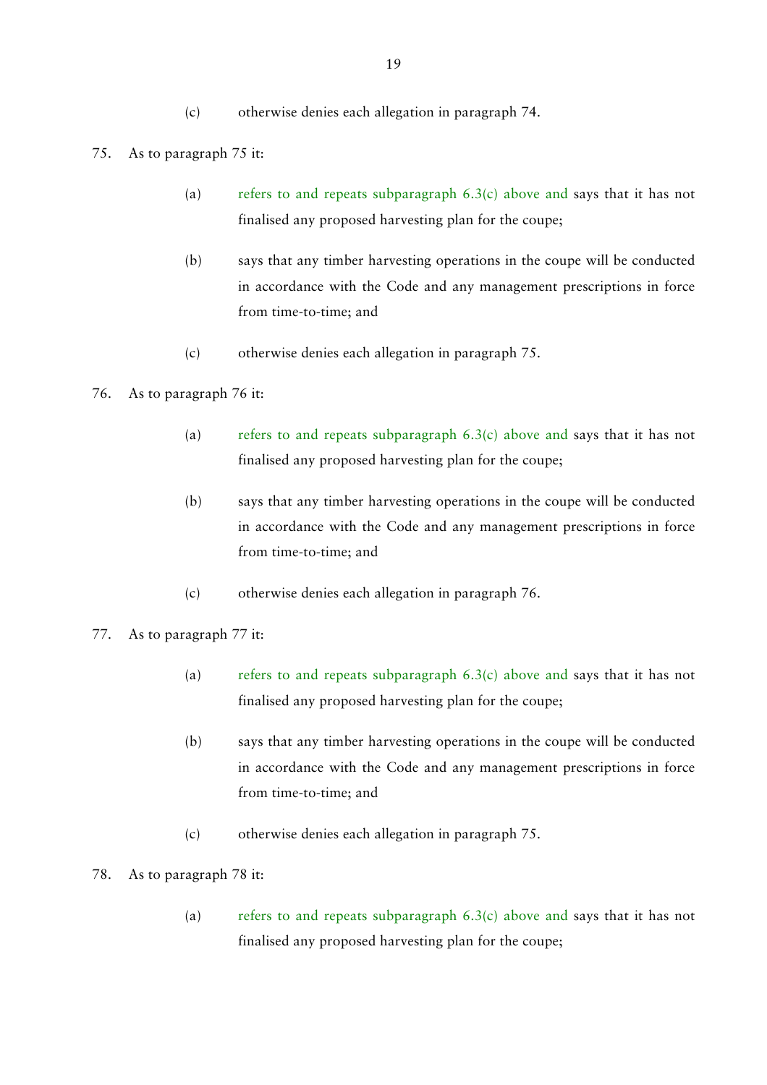- (c) otherwise denies each allegation in paragraph 74.
- 75. As to paragraph 75 it:
	- (a) refers to and repeats subparagraph  $6.3(c)$  above and says that it has not finalised any proposed harvesting plan for the coupe;
	- (b) says that any timber harvesting operations in the coupe will be conducted in accordance with the Code and any management prescriptions in force from time-to-time; and
	- (c) otherwise denies each allegation in paragraph 75.

# 76. As to paragraph 76 it:

- (a) refers to and repeats subparagraph 6.3(c) above and says that it has not finalised any proposed harvesting plan for the coupe;
- (b) says that any timber harvesting operations in the coupe will be conducted in accordance with the Code and any management prescriptions in force from time-to-time; and
- (c) otherwise denies each allegation in paragraph 76.
- 77. As to paragraph 77 it:
	- (a) refers to and repeats subparagraph  $6.3(c)$  above and says that it has not finalised any proposed harvesting plan for the coupe;
	- (b) says that any timber harvesting operations in the coupe will be conducted in accordance with the Code and any management prescriptions in force from time-to-time; and
	- (c) otherwise denies each allegation in paragraph 75.
- 78. As to paragraph 78 it:
	- (a) refers to and repeats subparagraph 6.3(c) above and says that it has not finalised any proposed harvesting plan for the coupe;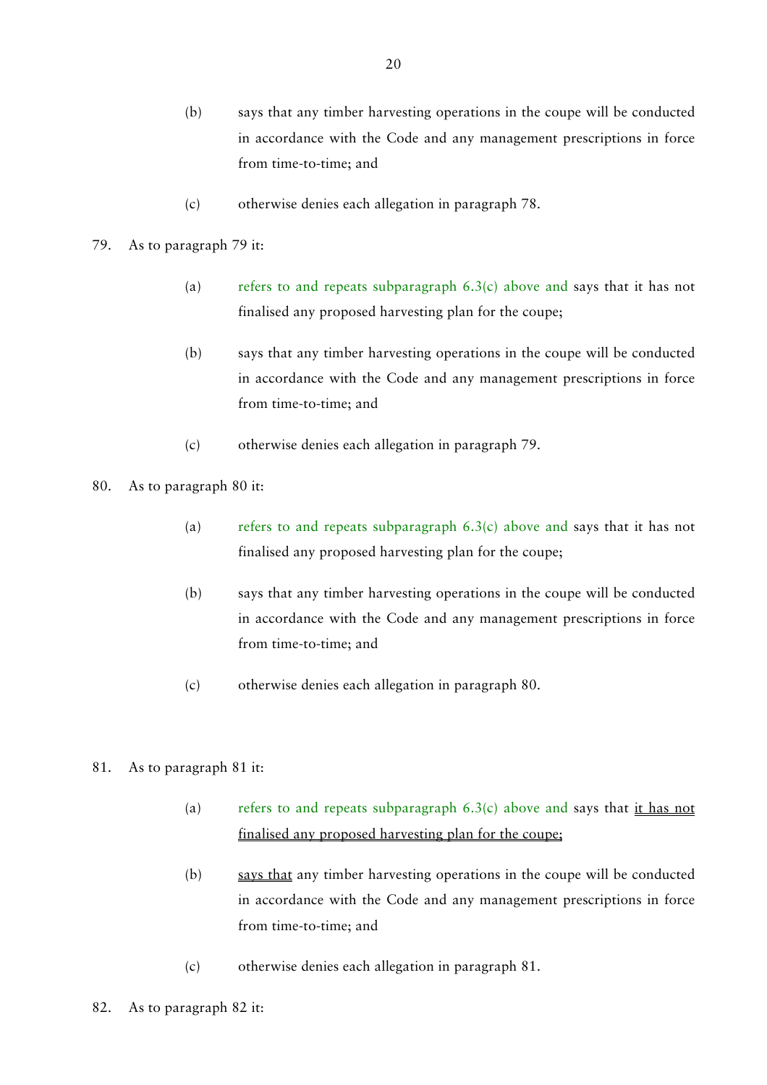- (b) says that any timber harvesting operations in the coupe will be conducted in accordance with the Code and any management prescriptions in force from time-to-time; and
- (c) otherwise denies each allegation in paragraph 78.
- 79. As to paragraph 79 it:
	- (a) refers to and repeats subparagraph  $6.3(c)$  above and says that it has not finalised any proposed harvesting plan for the coupe;
	- (b) says that any timber harvesting operations in the coupe will be conducted in accordance with the Code and any management prescriptions in force from time-to-time; and
	- (c) otherwise denies each allegation in paragraph 79.
- 80. As to paragraph 80 it:
	- (a) refers to and repeats subparagraph  $6.3(c)$  above and says that it has not finalised any proposed harvesting plan for the coupe;
	- (b) says that any timber harvesting operations in the coupe will be conducted in accordance with the Code and any management prescriptions in force from time-to-time; and
	- (c) otherwise denies each allegation in paragraph 80.
- 81. As to paragraph 81 it:
	- (a) refers to and repeats subparagraph  $6.3(c)$  above and says that it has not finalised any proposed harvesting plan for the coupe;
	- (b) says that any timber harvesting operations in the coupe will be conducted in accordance with the Code and any management prescriptions in force from time-to-time; and
	- (c) otherwise denies each allegation in paragraph 81.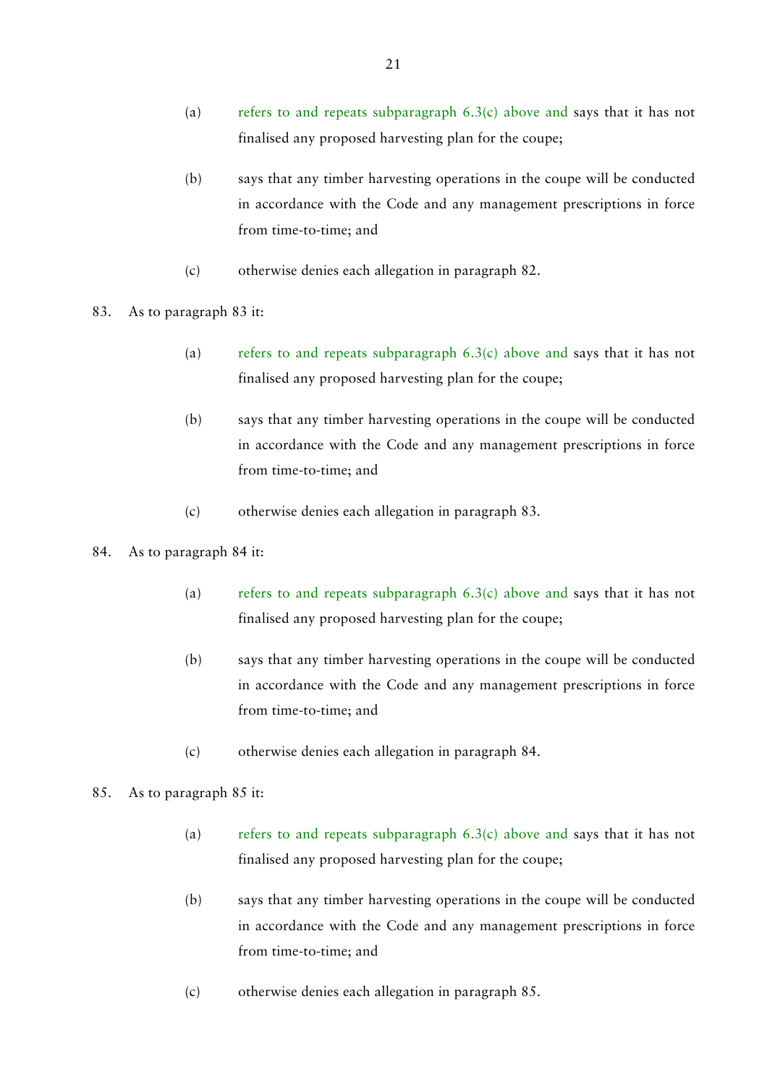- (a) refers to and repeats subparagraph  $6.3(c)$  above and says that it has not finalised any proposed harvesting plan for the coupe;
- (b) says that any timber harvesting operations in the coupe will be conducted in accordance with the Code and any management prescriptions in force from time-to-time; and
- (c) otherwise denies each allegation in paragraph 82.
- 83. As to paragraph 83 it:
	- (a) refers to and repeats subparagraph  $6.3(c)$  above and says that it has not finalised any proposed harvesting plan for the coupe;
	- (b) says that any timber harvesting operations in the coupe will be conducted in accordance with the Code and any management prescriptions in force from time-to-time; and
	- (c) otherwise denies each allegation in paragraph 83.

#### 84. As to paragraph 84 it:

- (a) refers to and repeats subparagraph  $6.3(c)$  above and says that it has not finalised any proposed harvesting plan for the coupe;
- (b) says that any timber harvesting operations in the coupe will be conducted in accordance with the Code and any management prescriptions in force from time-to-time; and
- (c) otherwise denies each allegation in paragraph 84.

#### 85. As to paragraph 85 it:

- (a) refers to and repeats subparagraph  $6.3(c)$  above and says that it has not finalised any proposed harvesting plan for the coupe;
- (b) says that any timber harvesting operations in the coupe will be conducted in accordance with the Code and any management prescriptions in force from time-to-time; and
- (c) otherwise denies each allegation in paragraph 85.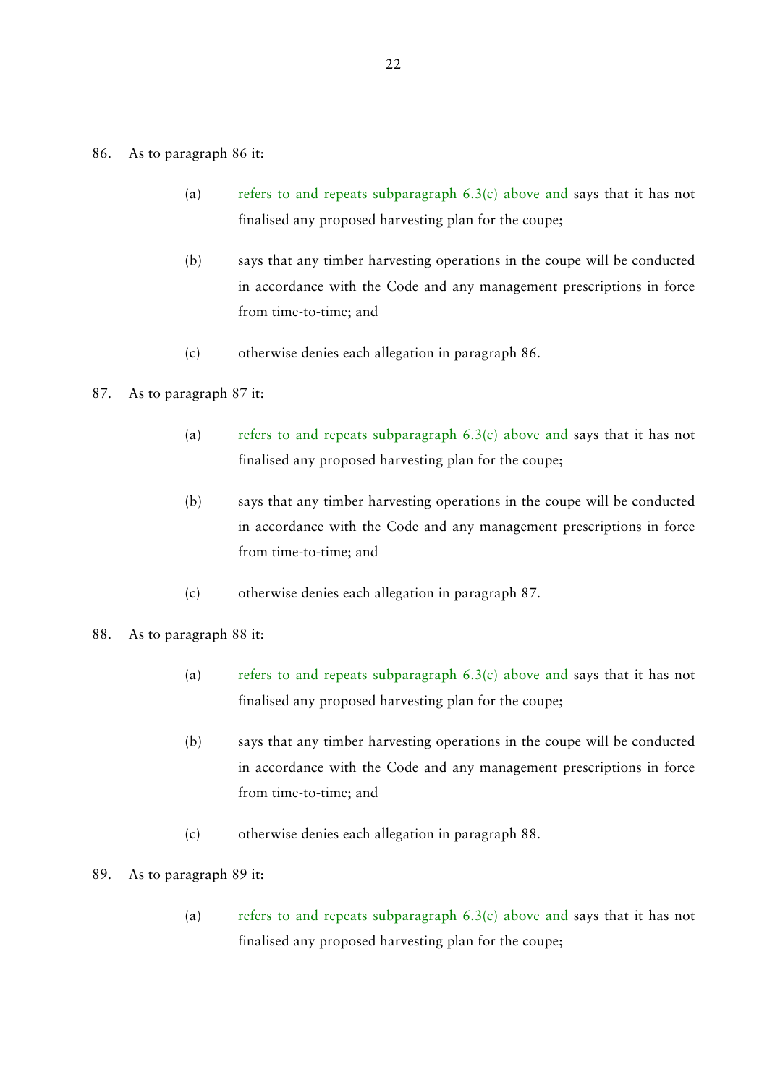- (a) refers to and repeats subparagraph  $6.3(c)$  above and says that it has not finalised any proposed harvesting plan for the coupe;
- (b) says that any timber harvesting operations in the coupe will be conducted in accordance with the Code and any management prescriptions in force from time-to-time; and
- (c) otherwise denies each allegation in paragraph 86.

#### 87. As to paragraph 87 it:

- (a) refers to and repeats subparagraph 6.3(c) above and says that it has not finalised any proposed harvesting plan for the coupe;
- (b) says that any timber harvesting operations in the coupe will be conducted in accordance with the Code and any management prescriptions in force from time-to-time; and
- (c) otherwise denies each allegation in paragraph 87.
- 88. As to paragraph 88 it:
	- (a) refers to and repeats subparagraph  $6.3(c)$  above and says that it has not finalised any proposed harvesting plan for the coupe;
	- (b) says that any timber harvesting operations in the coupe will be conducted in accordance with the Code and any management prescriptions in force from time-to-time; and
	- (c) otherwise denies each allegation in paragraph 88.
- 89. As to paragraph 89 it:
	- (a) refers to and repeats subparagraph  $6.3(c)$  above and says that it has not finalised any proposed harvesting plan for the coupe;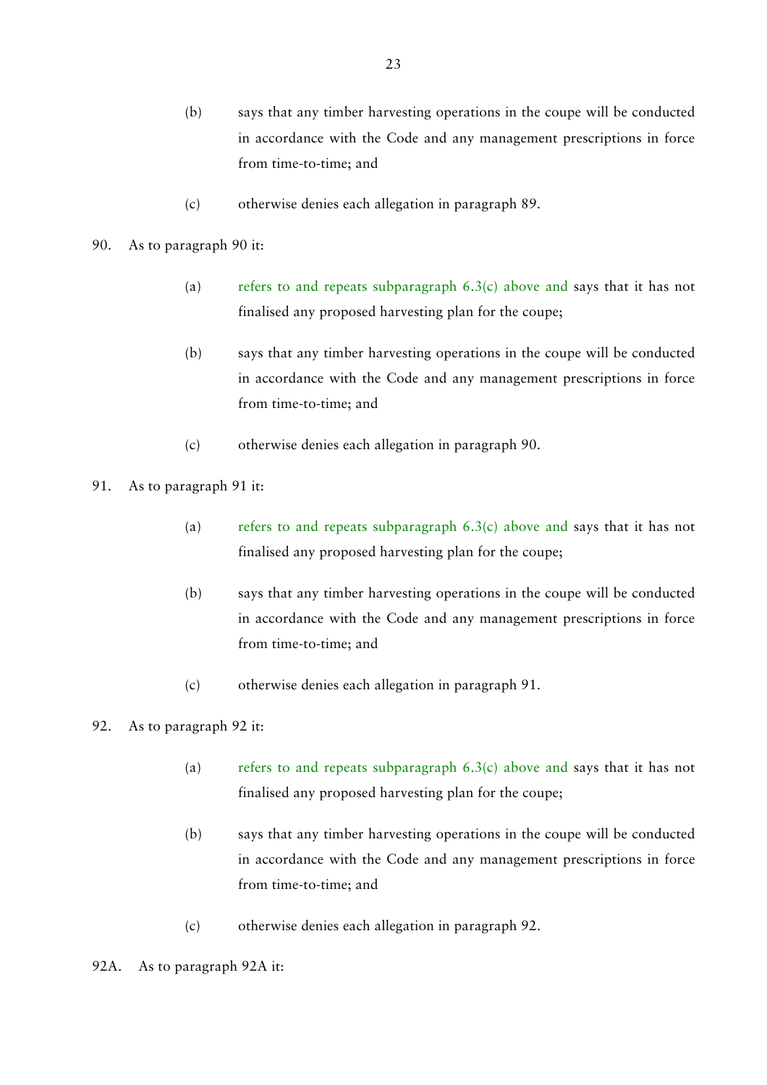- (b) says that any timber harvesting operations in the coupe will be conducted in accordance with the Code and any management prescriptions in force from time-to-time; and
- (c) otherwise denies each allegation in paragraph 89.
- 90. As to paragraph 90 it:
	- (a) refers to and repeats subparagraph  $6.3(c)$  above and says that it has not finalised any proposed harvesting plan for the coupe;
	- (b) says that any timber harvesting operations in the coupe will be conducted in accordance with the Code and any management prescriptions in force from time-to-time; and
	- (c) otherwise denies each allegation in paragraph 90.
- 91. As to paragraph 91 it:
	- (a) refers to and repeats subparagraph  $6.3(c)$  above and says that it has not finalised any proposed harvesting plan for the coupe;
	- (b) says that any timber harvesting operations in the coupe will be conducted in accordance with the Code and any management prescriptions in force from time-to-time; and
	- (c) otherwise denies each allegation in paragraph 91.

# 92. As to paragraph 92 it:

- (a) refers to and repeats subparagraph  $6.3(c)$  above and says that it has not finalised any proposed harvesting plan for the coupe;
- (b) says that any timber harvesting operations in the coupe will be conducted in accordance with the Code and any management prescriptions in force from time-to-time; and
- (c) otherwise denies each allegation in paragraph 92.

### 92A. As to paragraph 92A it: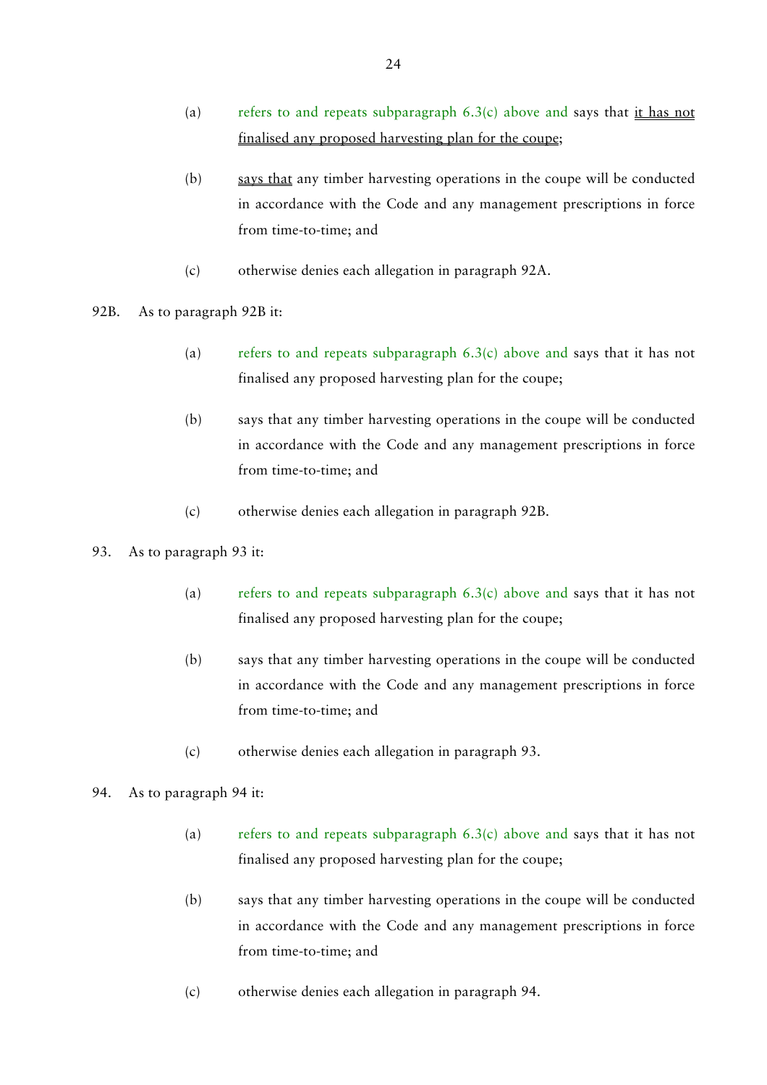- (a) refers to and repeats subparagraph  $6.3(c)$  above and says that it has not finalised any proposed harvesting plan for the coupe;
- (b) says that any timber harvesting operations in the coupe will be conducted in accordance with the Code and any management prescriptions in force from time-to-time; and
- (c) otherwise denies each allegation in paragraph 92A.
- 92B. As to paragraph 92B it:
	- (a) refers to and repeats subparagraph  $6.3(c)$  above and says that it has not finalised any proposed harvesting plan for the coupe;
	- (b) says that any timber harvesting operations in the coupe will be conducted in accordance with the Code and any management prescriptions in force from time-to-time; and
	- (c) otherwise denies each allegation in paragraph 92B.

### 93. As to paragraph 93 it:

- (a) refers to and repeats subparagraph  $6.3(c)$  above and says that it has not finalised any proposed harvesting plan for the coupe;
- (b) says that any timber harvesting operations in the coupe will be conducted in accordance with the Code and any management prescriptions in force from time-to-time; and
- (c) otherwise denies each allegation in paragraph 93.

### 94. As to paragraph 94 it:

- (a) refers to and repeats subparagraph  $6.3(c)$  above and says that it has not finalised any proposed harvesting plan for the coupe;
- (b) says that any timber harvesting operations in the coupe will be conducted in accordance with the Code and any management prescriptions in force from time-to-time; and
- (c) otherwise denies each allegation in paragraph 94.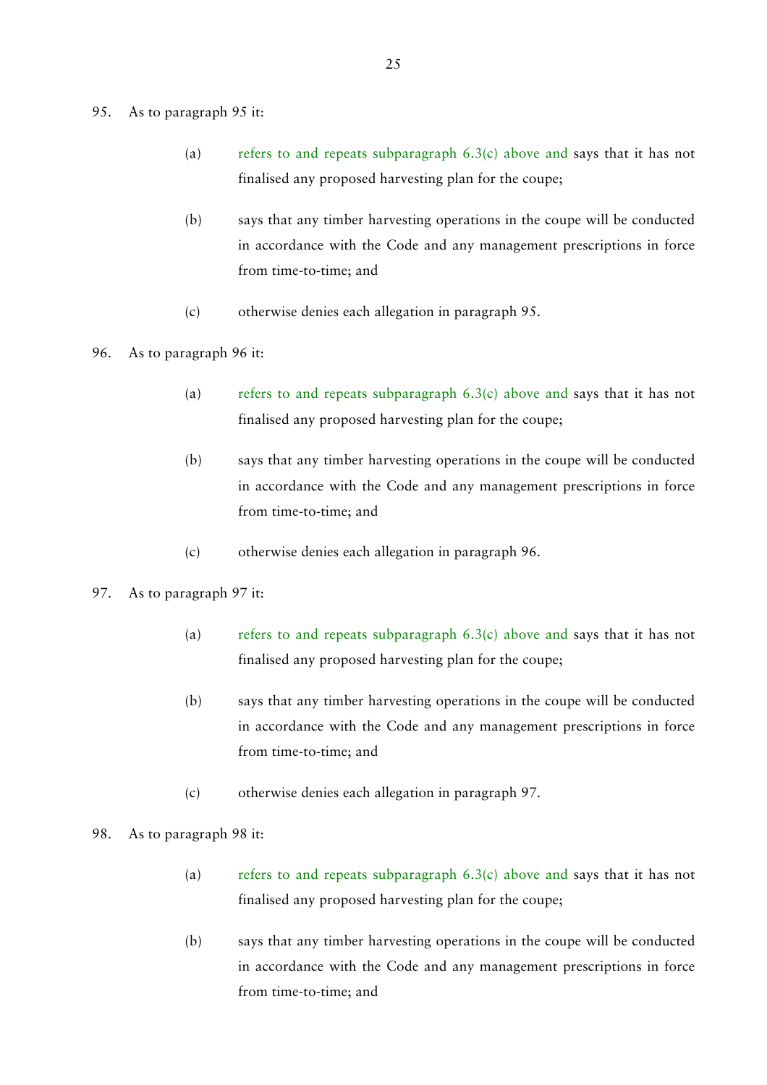#### 95. As to paragraph 95 it:

- (a) refers to and repeats subparagraph  $6.3(c)$  above and says that it has not finalised any proposed harvesting plan for the coupe;
- (b) says that any timber harvesting operations in the coupe will be conducted in accordance with the Code and any management prescriptions in force from time-to-time; and
- (c) otherwise denies each allegation in paragraph 95.
- 96. As to paragraph 96 it:
	- (a) refers to and repeats subparagraph  $6.3(c)$  above and says that it has not finalised any proposed harvesting plan for the coupe;
	- (b) says that any timber harvesting operations in the coupe will be conducted in accordance with the Code and any management prescriptions in force from time-to-time; and
	- (c) otherwise denies each allegation in paragraph 96.
- 97. As to paragraph 97 it:
	- (a) refers to and repeats subparagraph  $6.3(c)$  above and says that it has not finalised any proposed harvesting plan for the coupe;
	- (b) says that any timber harvesting operations in the coupe will be conducted in accordance with the Code and any management prescriptions in force from time-to-time; and
	- (c) otherwise denies each allegation in paragraph 97.
- 98. As to paragraph 98 it:
	- (a) refers to and repeats subparagraph  $6.3(c)$  above and says that it has not finalised any proposed harvesting plan for the coupe;
	- (b) says that any timber harvesting operations in the coupe will be conducted in accordance with the Code and any management prescriptions in force from time-to-time; and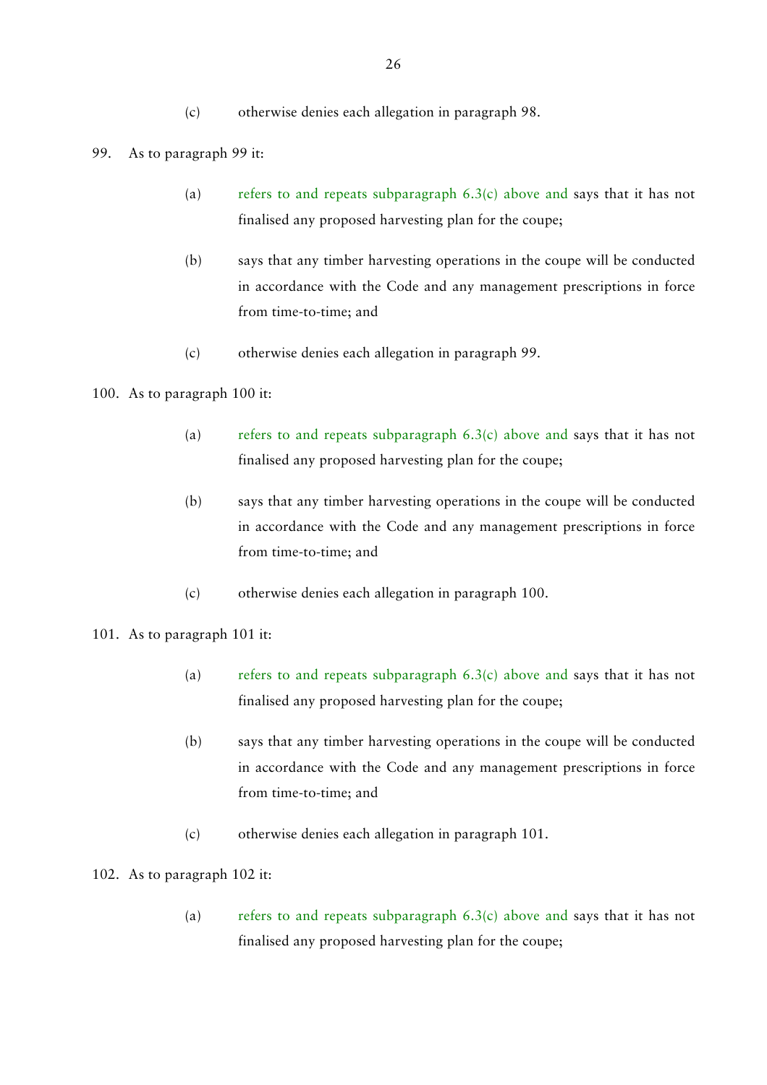### 99. As to paragraph 99 it:

- (a) refers to and repeats subparagraph  $6.3(c)$  above and says that it has not finalised any proposed harvesting plan for the coupe;
- (b) says that any timber harvesting operations in the coupe will be conducted in accordance with the Code and any management prescriptions in force from time-to-time; and
- (c) otherwise denies each allegation in paragraph 99.

# 100. As to paragraph 100 it:

- (a) refers to and repeats subparagraph 6.3(c) above and says that it has not finalised any proposed harvesting plan for the coupe;
- (b) says that any timber harvesting operations in the coupe will be conducted in accordance with the Code and any management prescriptions in force from time-to-time; and
- (c) otherwise denies each allegation in paragraph 100.

### 101. As to paragraph 101 it:

- (a) refers to and repeats subparagraph  $6.3(c)$  above and says that it has not finalised any proposed harvesting plan for the coupe;
- (b) says that any timber harvesting operations in the coupe will be conducted in accordance with the Code and any management prescriptions in force from time-to-time; and
- (c) otherwise denies each allegation in paragraph 101.

### 102. As to paragraph 102 it:

(a) refers to and repeats subparagraph  $6.3(c)$  above and says that it has not finalised any proposed harvesting plan for the coupe;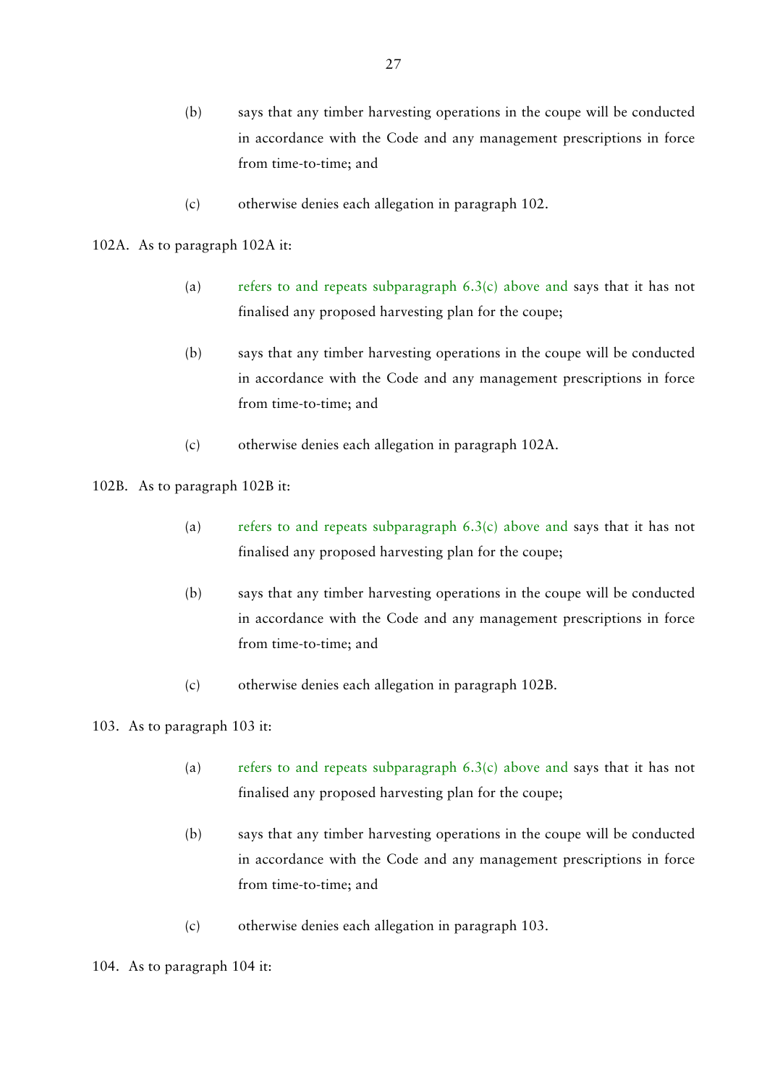- (b) says that any timber harvesting operations in the coupe will be conducted in accordance with the Code and any management prescriptions in force from time-to-time; and
- (c) otherwise denies each allegation in paragraph 102.

### 102A. As to paragraph 102A it:

- (a) refers to and repeats subparagraph  $6.3(c)$  above and says that it has not finalised any proposed harvesting plan for the coupe;
- (b) says that any timber harvesting operations in the coupe will be conducted in accordance with the Code and any management prescriptions in force from time-to-time; and
- (c) otherwise denies each allegation in paragraph 102A.
- 102B. As to paragraph 102B it:
	- (a) refers to and repeats subparagraph  $6.3(c)$  above and says that it has not finalised any proposed harvesting plan for the coupe;
	- (b) says that any timber harvesting operations in the coupe will be conducted in accordance with the Code and any management prescriptions in force from time-to-time; and
	- (c) otherwise denies each allegation in paragraph 102B.

# 103. As to paragraph 103 it:

- (a) refers to and repeats subparagraph  $6.3(c)$  above and says that it has not finalised any proposed harvesting plan for the coupe;
- (b) says that any timber harvesting operations in the coupe will be conducted in accordance with the Code and any management prescriptions in force from time-to-time; and
- (c) otherwise denies each allegation in paragraph 103.

#### 104. As to paragraph 104 it: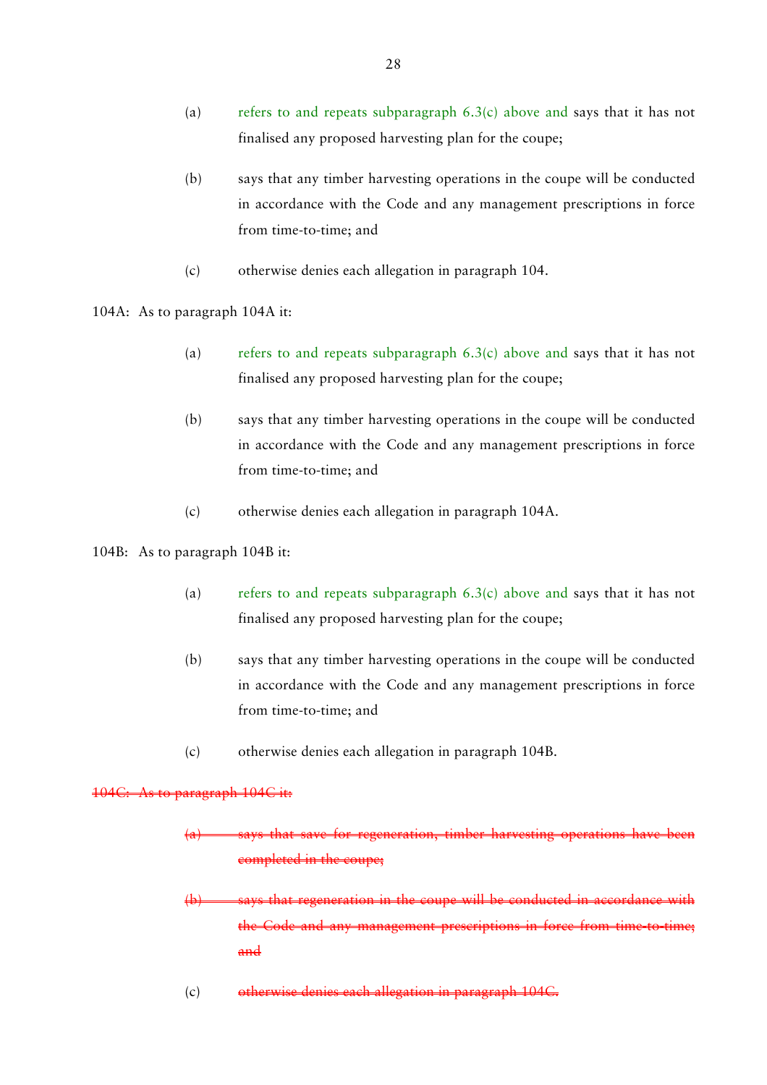- (a) refers to and repeats subparagraph  $6.3(c)$  above and says that it has not finalised any proposed harvesting plan for the coupe;
- (b) says that any timber harvesting operations in the coupe will be conducted in accordance with the Code and any management prescriptions in force from time-to-time; and
- (c) otherwise denies each allegation in paragraph 104.
- 104A: As to paragraph 104A it:
	- (a) refers to and repeats subparagraph  $6.3(c)$  above and says that it has not finalised any proposed harvesting plan for the coupe;
	- (b) says that any timber harvesting operations in the coupe will be conducted in accordance with the Code and any management prescriptions in force from time-to-time; and
	- (c) otherwise denies each allegation in paragraph 104A.

### 104B: As to paragraph 104B it:

- (a) refers to and repeats subparagraph  $6.3(c)$  above and says that it has not finalised any proposed harvesting plan for the coupe;
- (b) says that any timber harvesting operations in the coupe will be conducted in accordance with the Code and any management prescriptions in force from time-to-time; and
- (c) otherwise denies each allegation in paragraph 104B.

#### 104C: As to paragraph 104C it:

- (a) says that save for regeneration, timber harvesting operations have been (a) completed in the coupe;
- (b) says that regeneration in the coupe will be conducted in accordance with the Code and any management prescriptions in force from time-to-time;  $\overline{\text{and}}$
- (c) otherwise denies each allegation in paragraph 104C.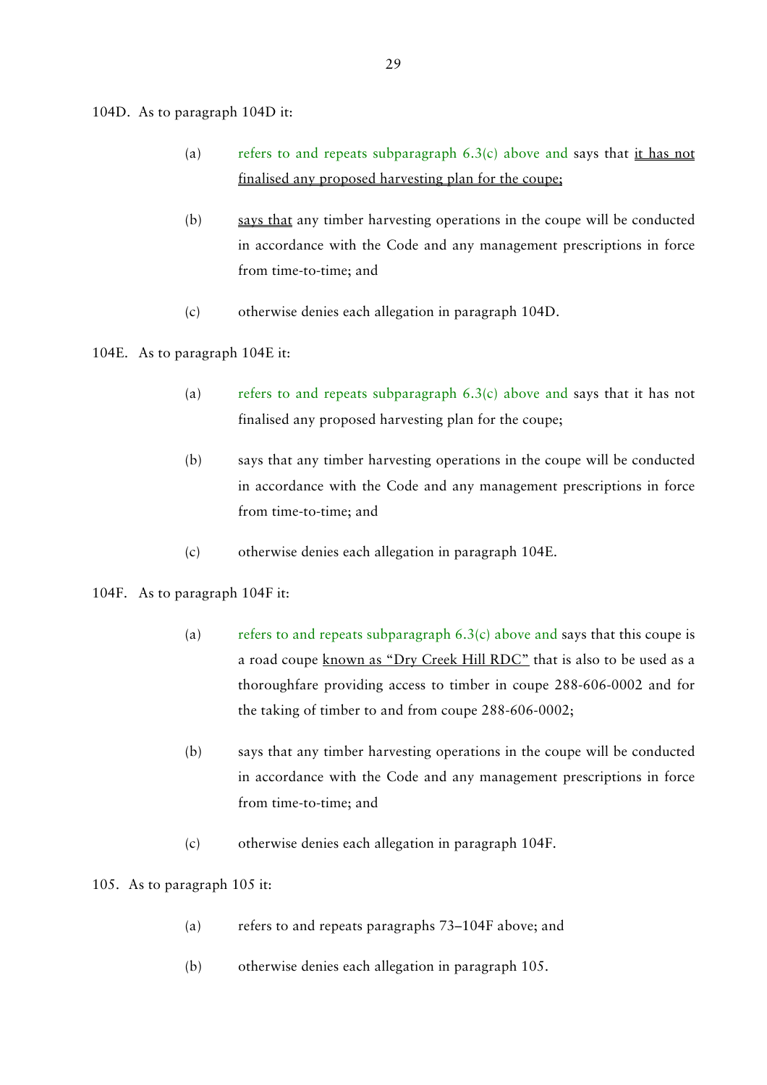104D. As to paragraph 104D it:

- (a) refers to and repeats subparagraph  $6.3(c)$  above and says that it has not finalised any proposed harvesting plan for the coupe;
- (b) says that any timber harvesting operations in the coupe will be conducted in accordance with the Code and any management prescriptions in force from time-to-time; and
- (c) otherwise denies each allegation in paragraph 104D.

104E. As to paragraph 104E it:

- (a) refers to and repeats subparagraph 6.3(c) above and says that it has not finalised any proposed harvesting plan for the coupe;
- (b) says that any timber harvesting operations in the coupe will be conducted in accordance with the Code and any management prescriptions in force from time-to-time; and
- (c) otherwise denies each allegation in paragraph 104E.

# 104F. As to paragraph 104F it:

- (a) refers to and repeats subparagraph  $6.3(c)$  above and says that this coupe is a road coupe known as "Dry Creek Hill RDC" that is also to be used as a thoroughfare providing access to timber in coupe 288-606-0002 and for the taking of timber to and from coupe 288-606-0002;
- (b) says that any timber harvesting operations in the coupe will be conducted in accordance with the Code and any management prescriptions in force from time-to-time; and
- (c) otherwise denies each allegation in paragraph 104F.

# 105. As to paragraph 105 it:

- (a) refers to and repeats paragraphs 73–104F above; and
- (b) otherwise denies each allegation in paragraph 105.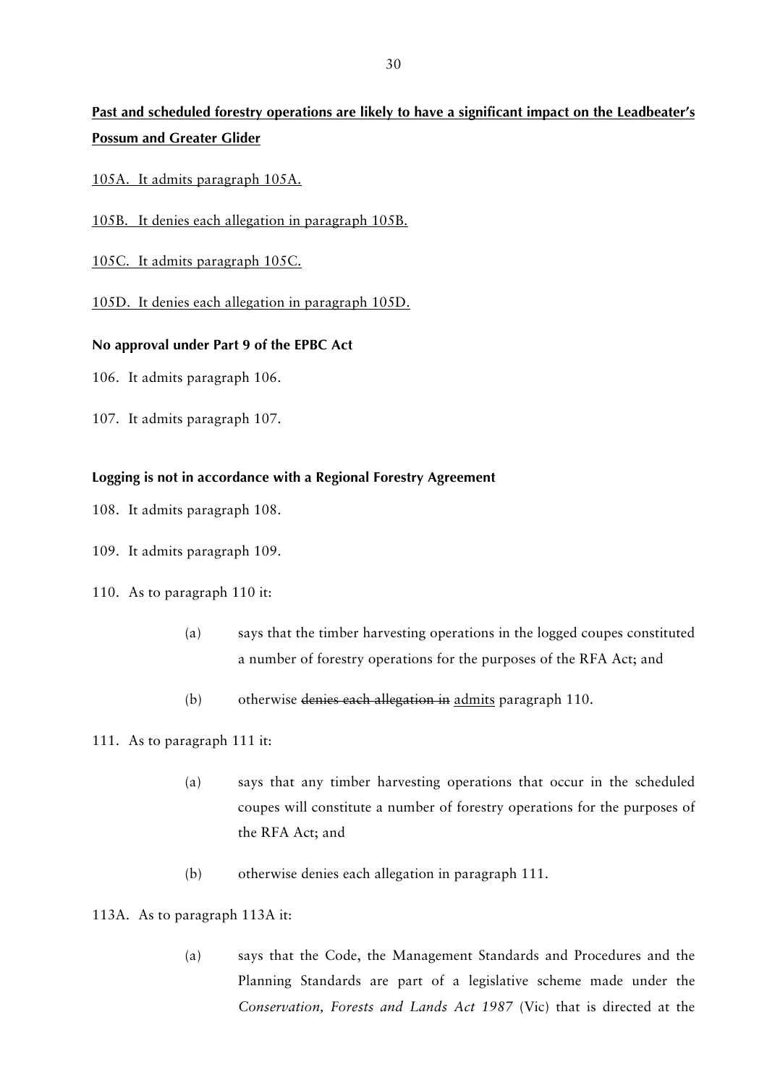# **Past and scheduled forestry operations are likely to have a significant impact on the Leadbeater's Possum and Greater Glider**

- 105A. It admits paragraph 105A.
- 105B. It denies each allegation in paragraph 105B.
- 105C. It admits paragraph 105C.
- 105D. It denies each allegation in paragraph 105D.

### **No approval under Part 9 of the EPBC Act**

- 106. It admits paragraph 106.
- 107. It admits paragraph 107.

### **Logging is not in accordance with a Regional Forestry Agreement**

- 108. It admits paragraph 108.
- 109. It admits paragraph 109.
- 110. As to paragraph 110 it:
	- (a) says that the timber harvesting operations in the logged coupes constituted a number of forestry operations for the purposes of the RFA Act; and
	- (b) otherwise denies each allegation in admits paragraph 110.

### 111. As to paragraph 111 it:

- (a) says that any timber harvesting operations that occur in the scheduled coupes will constitute a number of forestry operations for the purposes of the RFA Act; and
- (b) otherwise denies each allegation in paragraph 111.

### 113A. As to paragraph 113A it:

(a) says that the Code, the Management Standards and Procedures and the Planning Standards are part of a legislative scheme made under the *Conservation, Forests and Lands Act 1987* (Vic) that is directed at the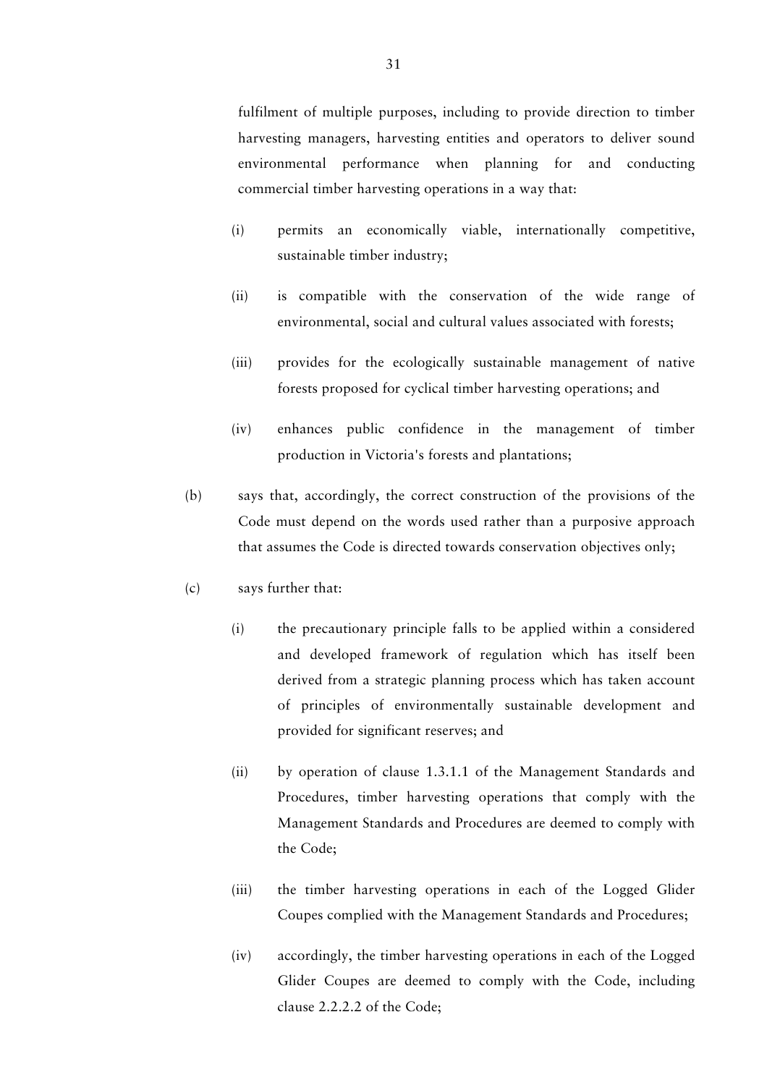fulfilment of multiple purposes, including to provide direction to timber harvesting managers, harvesting entities and operators to deliver sound environmental performance when planning for and conducting commercial timber harvesting operations in a way that:

- (i) permits an economically viable, internationally competitive, sustainable timber industry;
- (ii) is compatible with the conservation of the wide range of environmental, social and cultural values associated with forests;
- (iii) provides for the ecologically sustainable management of native forests proposed for cyclical timber harvesting operations; and
- (iv) enhances public confidence in the management of timber production in Victoria's forests and plantations;
- (b) says that, accordingly, the correct construction of the provisions of the Code must depend on the words used rather than a purposive approach that assumes the Code is directed towards conservation objectives only;
- (c) says further that:
	- (i) the precautionary principle falls to be applied within a considered and developed framework of regulation which has itself been derived from a strategic planning process which has taken account of principles of environmentally sustainable development and provided for significant reserves; and
	- (ii) by operation of clause 1.3.1.1 of the Management Standards and Procedures, timber harvesting operations that comply with the Management Standards and Procedures are deemed to comply with the Code;
	- (iii) the timber harvesting operations in each of the Logged Glider Coupes complied with the Management Standards and Procedures;
	- (iv) accordingly, the timber harvesting operations in each of the Logged Glider Coupes are deemed to comply with the Code, including clause 2.2.2.2 of the Code;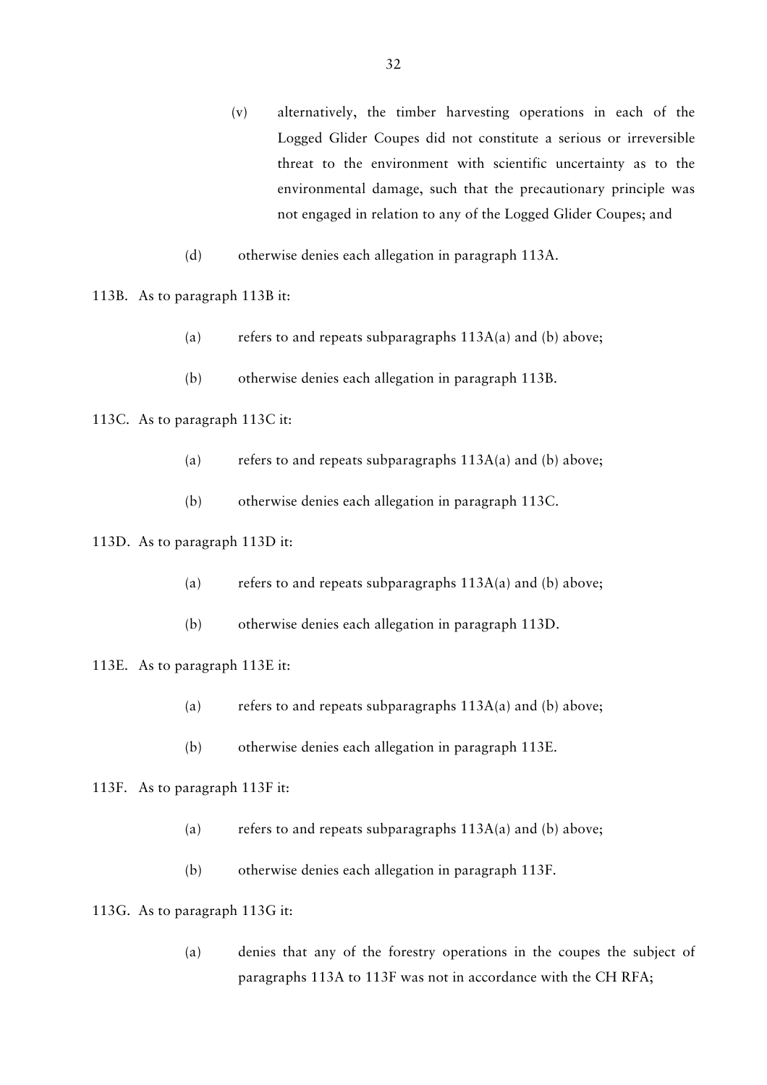- (v) alternatively, the timber harvesting operations in each of the Logged Glider Coupes did not constitute a serious or irreversible threat to the environment with scientific uncertainty as to the environmental damage, such that the precautionary principle was not engaged in relation to any of the Logged Glider Coupes; and
- (d) otherwise denies each allegation in paragraph 113A.
- 113B. As to paragraph 113B it:
	- (a) refers to and repeats subparagraphs  $113A(a)$  and (b) above;
	- (b) otherwise denies each allegation in paragraph 113B.
- 113C. As to paragraph 113C it:
	- (a) refers to and repeats subparagraphs  $113A(a)$  and (b) above;
	- (b) otherwise denies each allegation in paragraph 113C.

# 113D. As to paragraph 113D it:

- (a) refers to and repeats subparagraphs  $113A(a)$  and (b) above;
- (b) otherwise denies each allegation in paragraph 113D.
- 113E. As to paragraph 113E it:
	- (a) refers to and repeats subparagraphs 113A(a) and (b) above;
	- (b) otherwise denies each allegation in paragraph 113E.

### 113F. As to paragraph 113F it:

- (a) refers to and repeats subparagraphs  $113A(a)$  and (b) above;
- (b) otherwise denies each allegation in paragraph 113F.

113G. As to paragraph 113G it:

(a) denies that any of the forestry operations in the coupes the subject of paragraphs 113A to 113F was not in accordance with the CH RFA;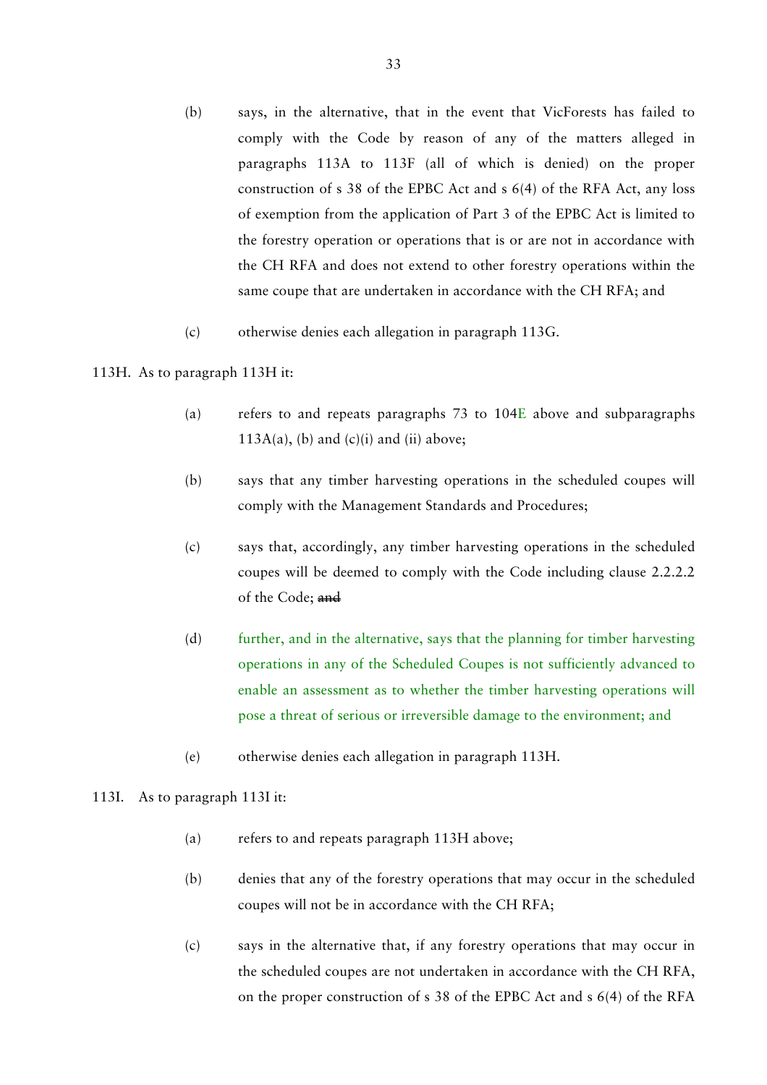- (b) says, in the alternative, that in the event that VicForests has failed to comply with the Code by reason of any of the matters alleged in paragraphs 113A to 113F (all of which is denied) on the proper construction of s 38 of the EPBC Act and s 6(4) of the RFA Act, any loss of exemption from the application of Part 3 of the EPBC Act is limited to the forestry operation or operations that is or are not in accordance with the CH RFA and does not extend to other forestry operations within the same coupe that are undertaken in accordance with the CH RFA; and
- (c) otherwise denies each allegation in paragraph 113G.

### 113H. As to paragraph 113H it:

- (a) refers to and repeats paragraphs 73 to 104E above and subparagraphs 113A(a), (b) and  $(c)(i)$  and  $(ii)$  above;
- (b) says that any timber harvesting operations in the scheduled coupes will comply with the Management Standards and Procedures;
- (c) says that, accordingly, any timber harvesting operations in the scheduled coupes will be deemed to comply with the Code including clause 2.2.2.2 of the Code; and
- (d) further, and in the alternative, says that the planning for timber harvesting operations in any of the Scheduled Coupes is not sufficiently advanced to enable an assessment as to whether the timber harvesting operations will pose a threat of serious or irreversible damage to the environment; and
- (e) otherwise denies each allegation in paragraph 113H.

# 113I. As to paragraph 113I it:

- (a) refers to and repeats paragraph 113H above;
- (b) denies that any of the forestry operations that may occur in the scheduled coupes will not be in accordance with the CH RFA;
- (c) says in the alternative that, if any forestry operations that may occur in the scheduled coupes are not undertaken in accordance with the CH RFA, on the proper construction of s 38 of the EPBC Act and s 6(4) of the RFA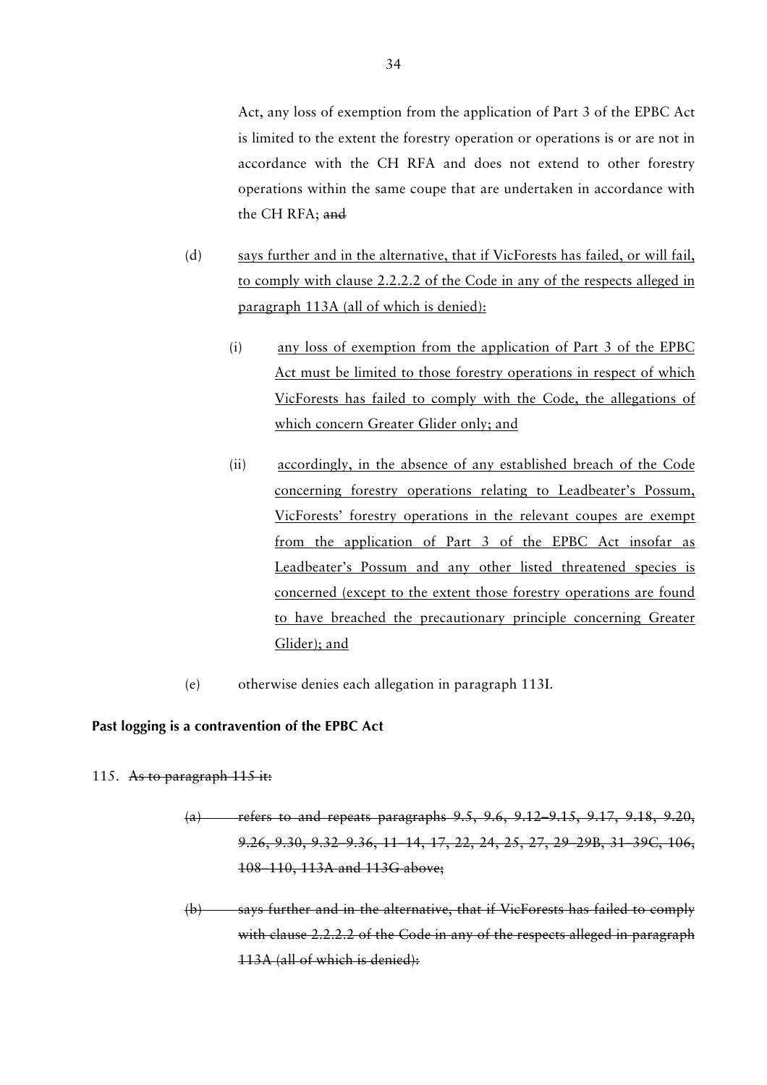Act, any loss of exemption from the application of Part 3 of the EPBC Act is limited to the extent the forestry operation or operations is or are not in accordance with the CH RFA and does not extend to other forestry operations within the same coupe that are undertaken in accordance with the CH RFA; and

- (d) says further and in the alternative, that if VicForests has failed, or will fail, to comply with clause 2.2.2.2 of the Code in any of the respects alleged in paragraph 113A (all of which is denied):
	- (i) any loss of exemption from the application of Part 3 of the EPBC Act must be limited to those forestry operations in respect of which VicForests has failed to comply with the Code, the allegations of which concern Greater Glider only; and
	- (ii) accordingly, in the absence of any established breach of the Code concerning forestry operations relating to Leadbeater's Possum, VicForests' forestry operations in the relevant coupes are exempt from the application of Part 3 of the EPBC Act insofar as Leadbeater's Possum and any other listed threatened species is concerned (except to the extent those forestry operations are found to have breached the precautionary principle concerning Greater Glider); and
- (e) otherwise denies each allegation in paragraph 113I.

# **Past logging is a contravention of the EPBC Act**

- 115. As to paragraph 115 it:
	- (a) refers to and repeats paragraphs 9.5, 9.6, 9.12–9.15, 9.17, 9.18, 9.20, 9.26, 9.30, 9.32–9.36, 11–14, 17, 22, 24, 25, 27, 29–29B, 31–39C, 106, 108–110, 113A and 113G above;
	- (b) says further and in the alternative, that if VicForests has failed to comply with clause 2.2.2.2 of the Code in any of the respects alleged in paragraph 113A (all of which is denied):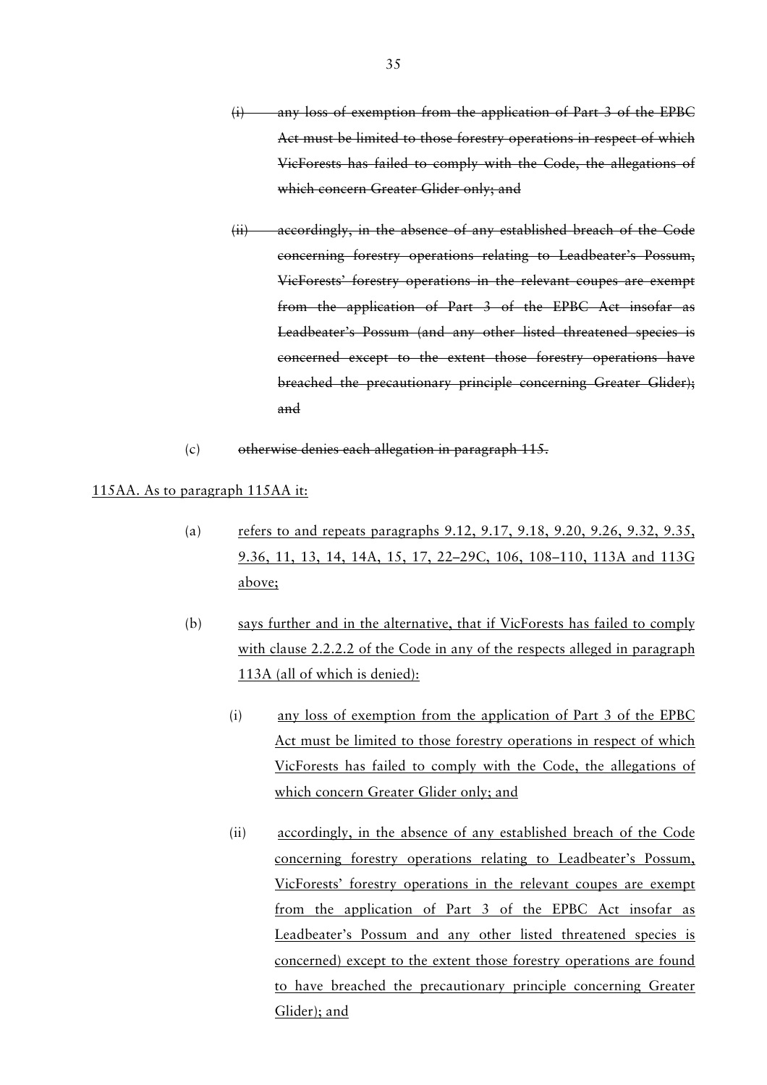- (i) any loss of exemption from the application of Part 3 of the EPBC Act must be limited to those forestry operations in respect of which VicForests has failed to comply with the Code, the allegations of which concern Greater Glider only; and
- (ii) accordingly, in the absence of any established breach of the Code concerning forestry operations relating to Leadbeater's Possum, VicForests' forestry operations in the relevant coupes are exempt from the application of Part 3 of the EPBC Act insofar as Leadbeater's Possum (and any other listed threatened species is concerned except to the extent those forestry operations have breached the precautionary principle concerning Greater Glider); and
- (c) otherwise denies each allegation in paragraph 115.

#### 115AA. As to paragraph 115AA it:

- (a) refers to and repeats paragraphs 9.12, 9.17, 9.18, 9.20, 9.26, 9.32, 9.35, 9.36, 11, 13, 14, 14A, 15, 17, 22–29C, 106, 108–110, 113A and 113G above;
- (b) says further and in the alternative, that if VicForests has failed to comply with clause 2.2.2.2 of the Code in any of the respects alleged in paragraph 113A (all of which is denied):
	- (i) any loss of exemption from the application of Part 3 of the EPBC Act must be limited to those forestry operations in respect of which VicForests has failed to comply with the Code, the allegations of which concern Greater Glider only; and
	- (ii) accordingly, in the absence of any established breach of the Code concerning forestry operations relating to Leadbeater's Possum, VicForests' forestry operations in the relevant coupes are exempt from the application of Part 3 of the EPBC Act insofar as Leadbeater's Possum and any other listed threatened species is concerned) except to the extent those forestry operations are found to have breached the precautionary principle concerning Greater Glider); and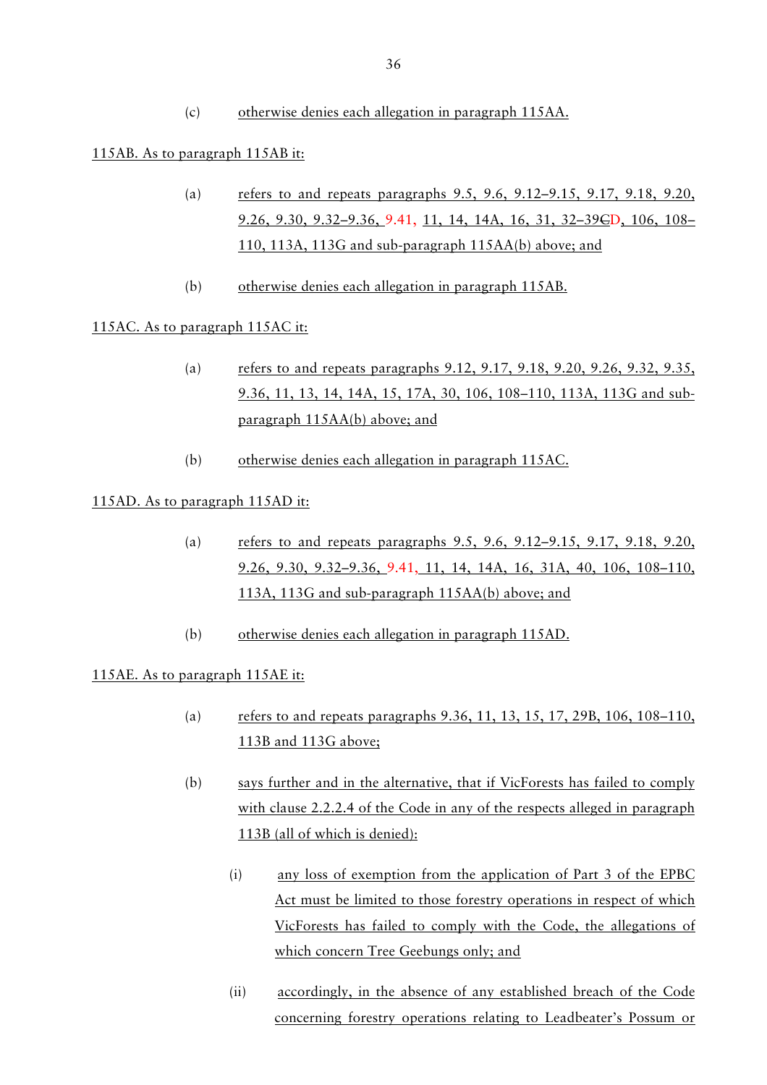(c) otherwise denies each allegation in paragraph 115AA.

# 115AB. As to paragraph 115AB it:

- (a) refers to and repeats paragraphs 9.5, 9.6, 9.12–9.15, 9.17, 9.18, 9.20, 9.26, 9.30, 9.32–9.36, 9.41, 11, 14, 14A, 16, 31, 32–39CD, 106, 108– 110, 113A, 113G and sub-paragraph 115AA(b) above; and
- (b) otherwise denies each allegation in paragraph 115AB.

# 115AC. As to paragraph 115AC it:

- (a) refers to and repeats paragraphs 9.12, 9.17, 9.18, 9.20, 9.26, 9.32, 9.35, 9.36, 11, 13, 14, 14A, 15, 17A, 30, 106, 108–110, 113A, 113G and subparagraph 115AA(b) above; and
- (b) otherwise denies each allegation in paragraph 115AC.

# 115AD. As to paragraph 115AD it:

- (a) refers to and repeats paragraphs 9.5, 9.6, 9.12–9.15, 9.17, 9.18, 9.20, 9.26, 9.30, 9.32–9.36, 9.41, 11, 14, 14A, 16, 31A, 40, 106, 108–110, 113A, 113G and sub-paragraph 115AA(b) above; and
- (b) otherwise denies each allegation in paragraph 115AD.

# 115AE. As to paragraph 115AE it:

- (a) refers to and repeats paragraphs 9.36, 11, 13, 15, 17, 29B, 106, 108–110, 113B and 113G above;
- (b) says further and in the alternative, that if VicForests has failed to comply with clause 2.2.2.4 of the Code in any of the respects alleged in paragraph 113B (all of which is denied):
	- (i) any loss of exemption from the application of Part 3 of the EPBC Act must be limited to those forestry operations in respect of which VicForests has failed to comply with the Code, the allegations of which concern Tree Geebungs only; and
	- (ii) accordingly, in the absence of any established breach of the Code concerning forestry operations relating to Leadbeater's Possum or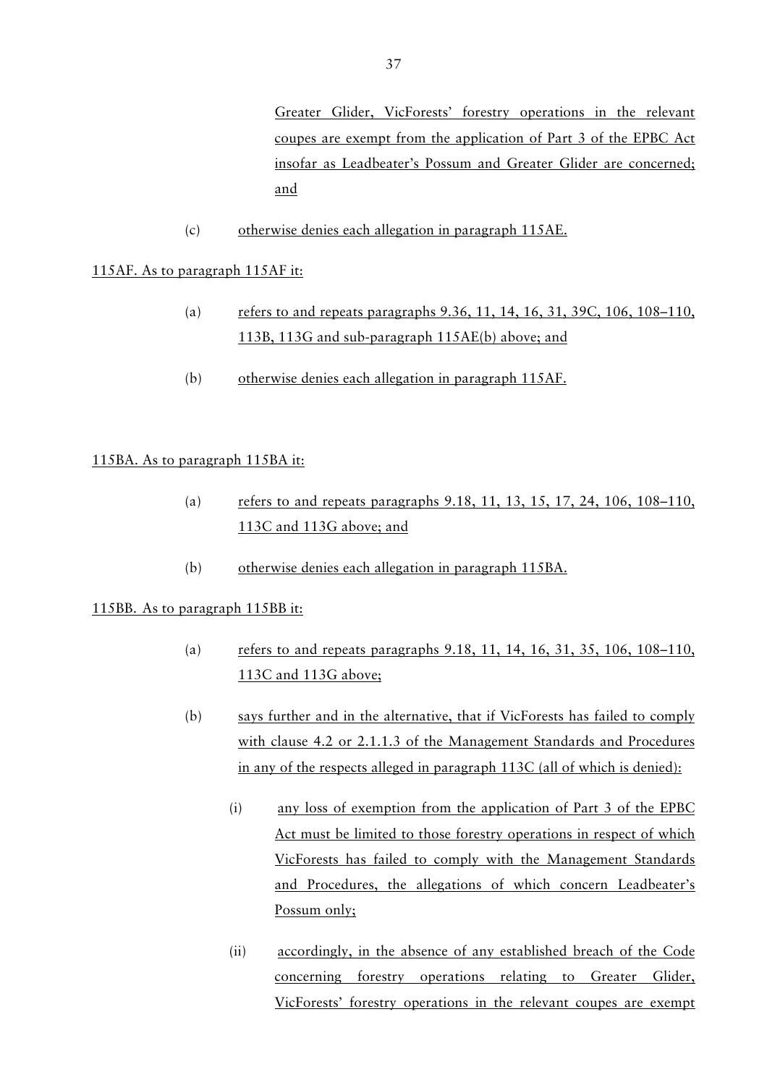Greater Glider, VicForests' forestry operations in the relevant coupes are exempt from the application of Part 3 of the EPBC Act insofar as Leadbeater's Possum and Greater Glider are concerned; and

(c) otherwise denies each allegation in paragraph 115AE.

# 115AF. As to paragraph 115AF it:

- (a) refers to and repeats paragraphs 9.36, 11, 14, 16, 31, 39C, 106, 108–110, 113B, 113G and sub-paragraph 115AE(b) above; and
- (b) otherwise denies each allegation in paragraph 115AF.

# 115BA. As to paragraph 115BA it:

- (a) refers to and repeats paragraphs 9.18, 11, 13, 15, 17, 24, 106, 108–110, 113C and 113G above; and
- (b) otherwise denies each allegation in paragraph 115BA.

# 115BB. As to paragraph 115BB it:

- (a) refers to and repeats paragraphs 9.18, 11, 14, 16, 31, 35, 106, 108–110, 113C and 113G above;
- (b) says further and in the alternative, that if VicForests has failed to comply with clause 4.2 or 2.1.1.3 of the Management Standards and Procedures in any of the respects alleged in paragraph 113C (all of which is denied):
	- (i) any loss of exemption from the application of Part 3 of the EPBC Act must be limited to those forestry operations in respect of which VicForests has failed to comply with the Management Standards and Procedures, the allegations of which concern Leadbeater's Possum only;
	- (ii) accordingly, in the absence of any established breach of the Code concerning forestry operations relating to Greater Glider, VicForests' forestry operations in the relevant coupes are exempt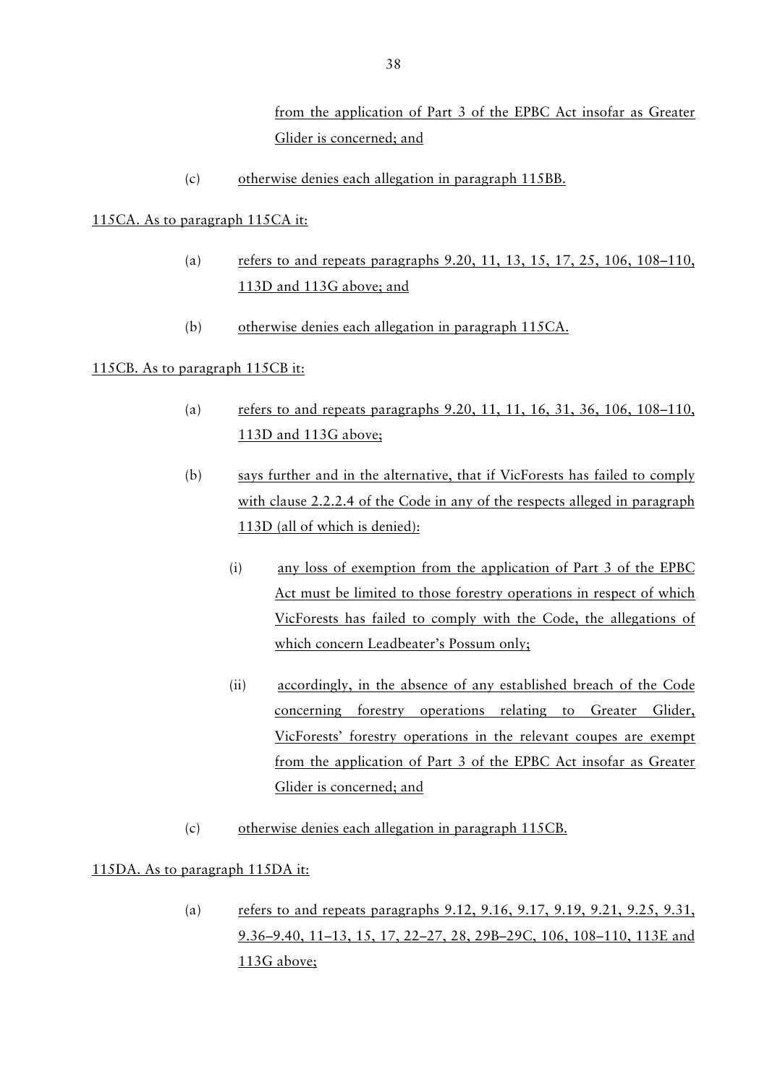(c) otherwise denies each allegation in paragraph 115BB.

# 115CA. As to paragraph 115CA it:

- (a) refers to and repeats paragraphs 9.20, 11, 13, 15, 17, 25, 106, 108–110, 113D and 113G above; and
- (b) otherwise denies each allegation in paragraph 115CA.

# 115CB. As to paragraph 115CB it:

- (a) refers to and repeats paragraphs 9.20, 11, 11, 16, 31, 36, 106, 108–110, 113D and 113G above;
- (b) says further and in the alternative, that if VicForests has failed to comply with clause 2.2.2.4 of the Code in any of the respects alleged in paragraph 113D (all of which is denied):
	- (i) any loss of exemption from the application of Part 3 of the EPBC Act must be limited to those forestry operations in respect of which VicForests has failed to comply with the Code, the allegations of which concern Leadbeater's Possum only;
	- (ii) accordingly, in the absence of any established breach of the Code concerning forestry operations relating to Greater Glider, VicForests' forestry operations in the relevant coupes are exempt from the application of Part 3 of the EPBC Act insofar as Greater Glider is concerned; and
- (c) otherwise denies each allegation in paragraph 115CB.

# 115DA. As to paragraph 115DA it:

(a) refers to and repeats paragraphs 9.12, 9.16, 9.17, 9.19, 9.21, 9.25, 9.31, 9.36–9.40, 11–13, 15, 17, 22–27, 28, 29B–29C, 106, 108–110, 113E and 113G above;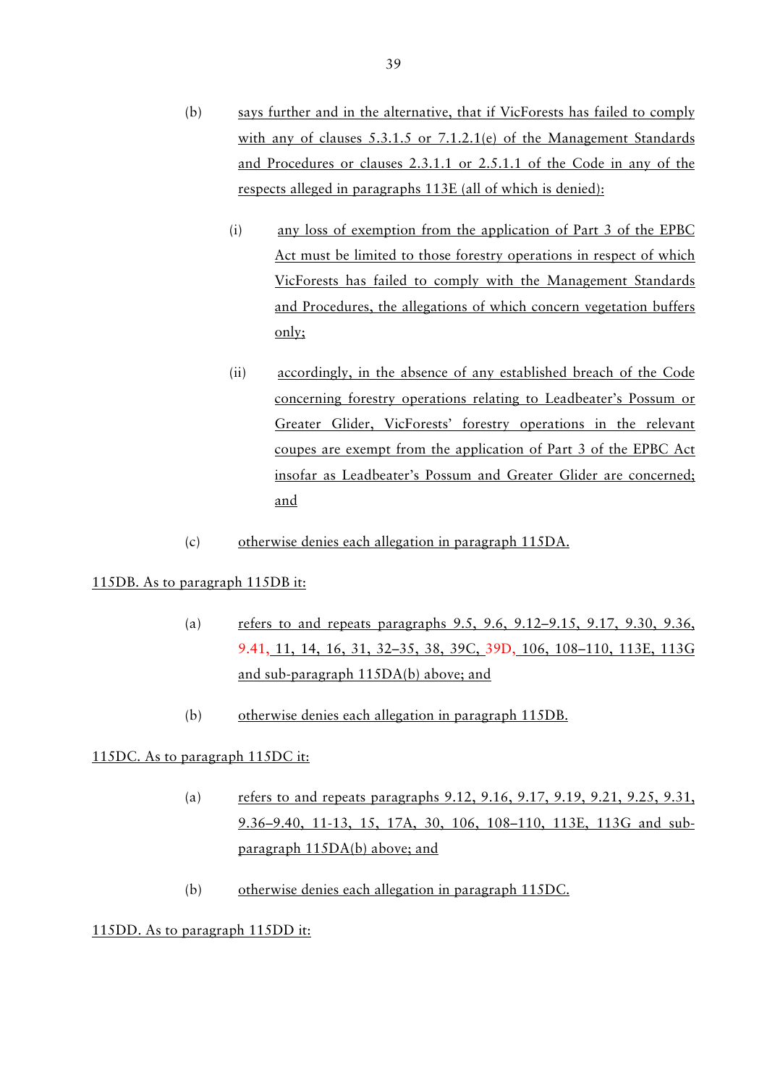- (i) any loss of exemption from the application of Part 3 of the EPBC Act must be limited to those forestry operations in respect of which VicForests has failed to comply with the Management Standards and Procedures, the allegations of which concern vegetation buffers only;
- (ii) accordingly, in the absence of any established breach of the Code concerning forestry operations relating to Leadbeater's Possum or Greater Glider, VicForests' forestry operations in the relevant coupes are exempt from the application of Part 3 of the EPBC Act insofar as Leadbeater's Possum and Greater Glider are concerned; and
- (c) otherwise denies each allegation in paragraph 115DA.

# 115DB. As to paragraph 115DB it:

- (a) refers to and repeats paragraphs 9.5, 9.6, 9.12–9.15, 9.17, 9.30, 9.36, 9.41, 11, 14, 16, 31, 32–35, 38, 39C, 39D, 106, 108–110, 113E, 113G and sub-paragraph 115DA(b) above; and
- (b) otherwise denies each allegation in paragraph 115DB.

# 115DC. As to paragraph 115DC it:

- (a) refers to and repeats paragraphs 9.12, 9.16, 9.17, 9.19, 9.21, 9.25, 9.31, 9.36–9.40, 11-13, 15, 17A, 30, 106, 108–110, 113E, 113G and subparagraph 115DA(b) above; and
- (b) otherwise denies each allegation in paragraph 115DC.

# 115DD. As to paragraph 115DD it: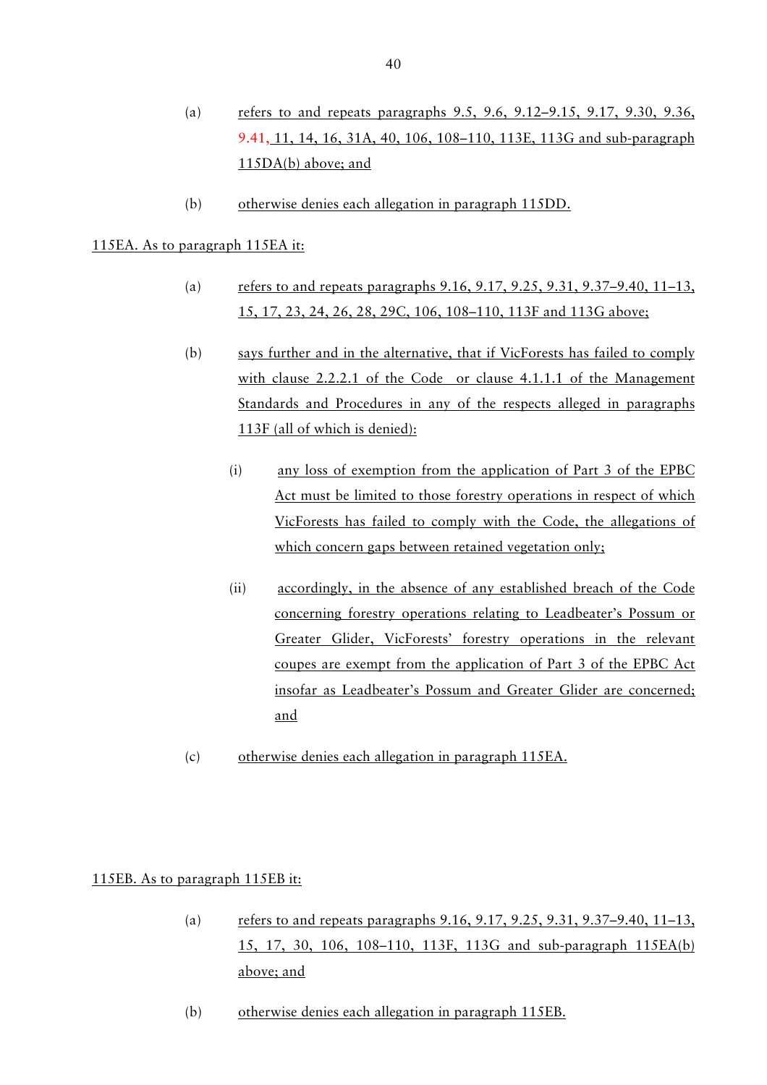- (a) refers to and repeats paragraphs 9.5, 9.6, 9.12–9.15, 9.17, 9.30, 9.36, 9.41, 11, 14, 16, 31A, 40, 106, 108–110, 113E, 113G and sub-paragraph 115DA(b) above; and
- (b) otherwise denies each allegation in paragraph 115DD.

### 115EA. As to paragraph 115EA it:

- (a) refers to and repeats paragraphs 9.16, 9.17, 9.25, 9.31, 9.37–9.40, 11–13, 15, 17, 23, 24, 26, 28, 29C, 106, 108–110, 113F and 113G above;
- (b) says further and in the alternative, that if VicForests has failed to comply with clause 2.2.2.1 of the Code or clause 4.1.1.1 of the Management Standards and Procedures in any of the respects alleged in paragraphs 113F (all of which is denied):
	- (i) any loss of exemption from the application of Part 3 of the EPBC Act must be limited to those forestry operations in respect of which VicForests has failed to comply with the Code, the allegations of which concern gaps between retained vegetation only;
	- (ii) accordingly, in the absence of any established breach of the Code concerning forestry operations relating to Leadbeater's Possum or Greater Glider, VicForests' forestry operations in the relevant coupes are exempt from the application of Part 3 of the EPBC Act insofar as Leadbeater's Possum and Greater Glider are concerned; and
- (c) otherwise denies each allegation in paragraph 115EA.

### 115EB. As to paragraph 115EB it:

- (a) refers to and repeats paragraphs  $9.16, 9.17, 9.25, 9.31, 9.37-9.40, 11-13$ , 15, 17, 30, 106, 108–110, 113F, 113G and sub-paragraph 115EA(b) above; and
- (b) otherwise denies each allegation in paragraph 115EB.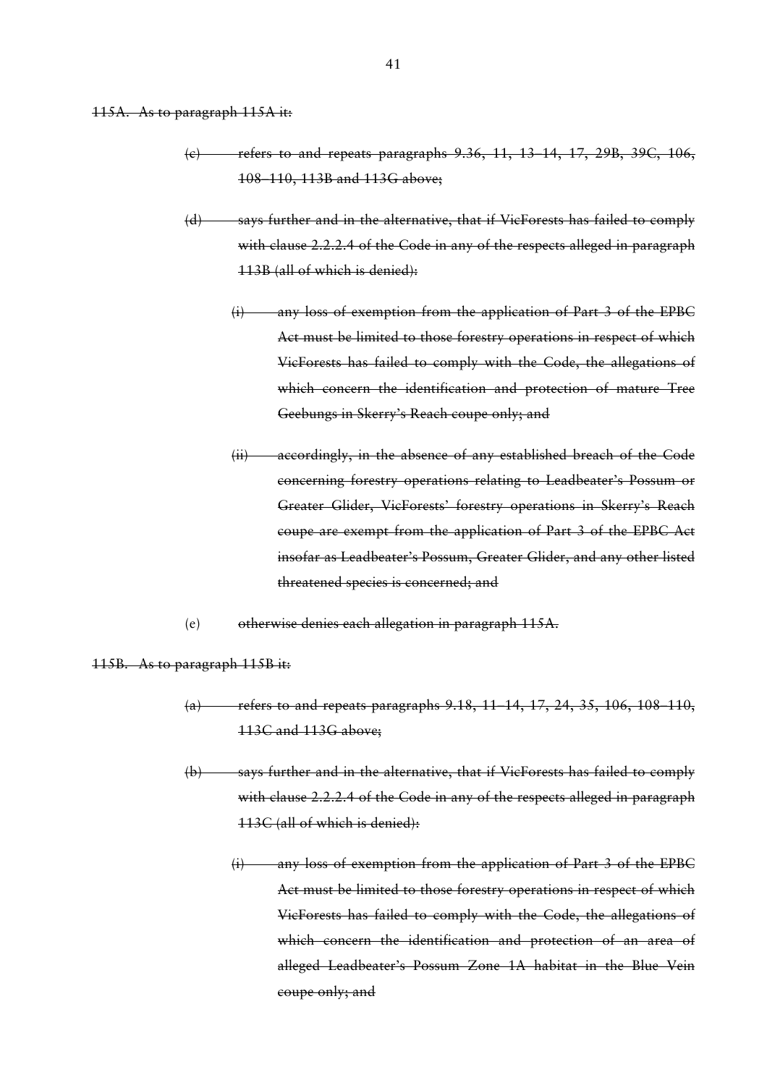# 115A. As to paragraph 115A it:

- (c) refers to and repeats paragraphs 9.36, 11, 13–14, 17, 29B, 39C, 106, 108–110, 113B and 113G above;
- (d) says further and in the alternative, that if VicForests has failed to comply with clause 2.2.2.4 of the Code in any of the respects alleged in paragraph 113B (all of which is denied):
	- (i) any loss of exemption from the application of Part 3 of the EPBC Act must be limited to those forestry operations in respect of which VicForests has failed to comply with the Code, the allegations of which concern the identification and protection of mature Tree Geebungs in Skerry's Reach coupe only; and
	- (ii) accordingly, in the absence of any established breach of the Code concerning forestry operations relating to Leadbeater's Possum or Greater Glider, VicForests' forestry operations in Skerry's Reach coupe are exempt from the application of Part 3 of the EPBC Act insofar as Leadbeater's Possum, Greater Glider, and any other listed threatened species is concerned; and
- (e) otherwise denies each allegation in paragraph 115A.

115B. As to paragraph 115B it:

- (a) refers to and repeats paragraphs 9.18, 11–14, 17, 24, 35, 106, 108–110, 113C and 113G above;
- (b) says further and in the alternative, that if VicForests has failed to comply with clause 2.2.2.4 of the Code in any of the respects alleged in paragraph 113C (all of which is denied):
	- (i) any loss of exemption from the application of Part 3 of the EPBC Act must be limited to those forestry operations in respect of which VicForests has failed to comply with the Code, the allegations of which concern the identification and protection of an area of alleged Leadbeater's Possum Zone 1A habitat in the Blue Vein coupe only; and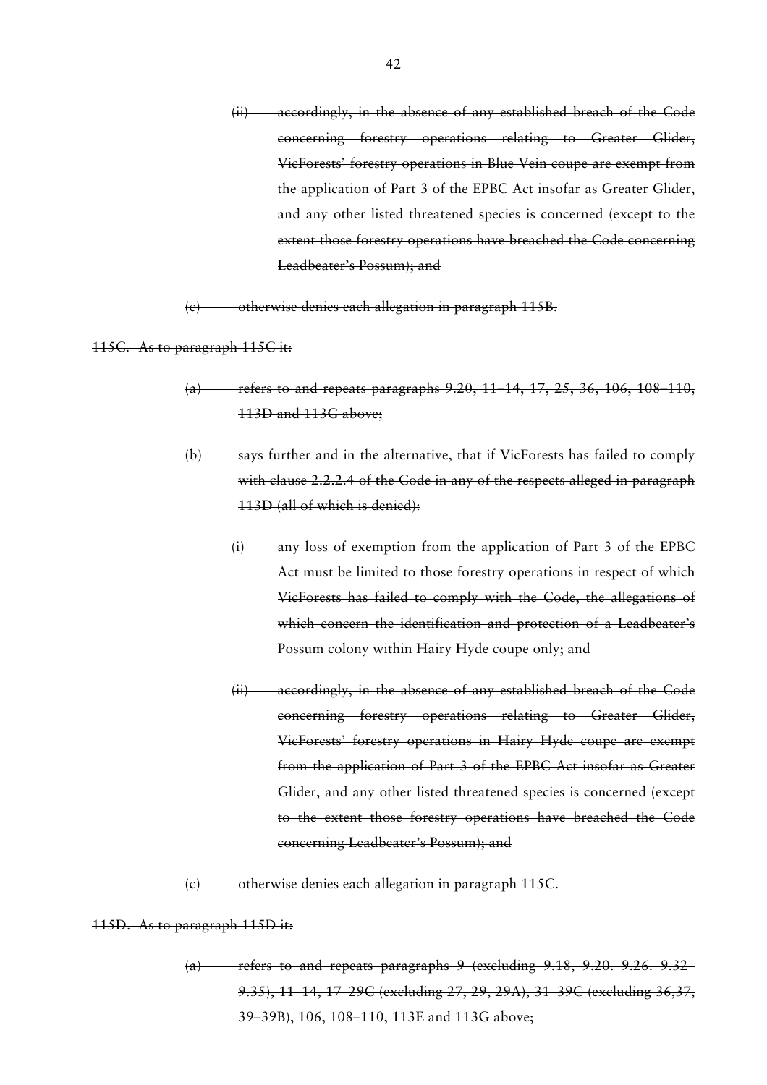(ii) accordingly, in the absence of any established breach of the Code concerning forestry operations relating to Greater Glider, VicForests' forestry operations in Blue Vein coupe are exempt from the application of Part 3 of the EPBC Act insofar as Greater Glider, and any other listed threatened species is concerned (except to the extent those forestry operations have breached the Code concerning Leadbeater's Possum); and

(c) otherwise denies each allegation in paragraph 115B.

115C. As to paragraph 115C it:

- (a) refers to and repeats paragraphs  $9.20, 11, 14, 17, 25, 36, 106, 108, 110$ , 113D and 113G above;
- (b) says further and in the alternative, that if VicForests has failed to comply with clause 2.2.2.4 of the Code in any of the respects alleged in paragraph 113D (all of which is denied):
	- (i) any loss of exemption from the application of Part 3 of the EPBC Act must be limited to those forestry operations in respect of which VicForests has failed to comply with the Code, the allegations of which concern the identification and protection of a Leadbeater's Possum colony within Hairy Hyde coupe only; and
	- (ii) accordingly, in the absence of any established breach of the Code concerning forestry operations relating to Greater Glider, VicForests' forestry operations in Hairy Hyde coupe are exempt from the application of Part 3 of the EPBC Act insofar as Greater Glider, and any other listed threatened species is concerned (except to the extent those forestry operations have breached the Code concerning Leadbeater's Possum); and

(c) otherwise denies each allegation in paragraph 115C.

115D. As to paragraph 115D it:

(a) refers to and repeats paragraphs 9 (excluding 9.18, 9.20. 9.26. 9.32– 9.35), 11–14, 17–29C (excluding 27, 29, 29A), 31–39C (excluding 36,37, 39–39B), 106, 108–110, 113E and 113G above;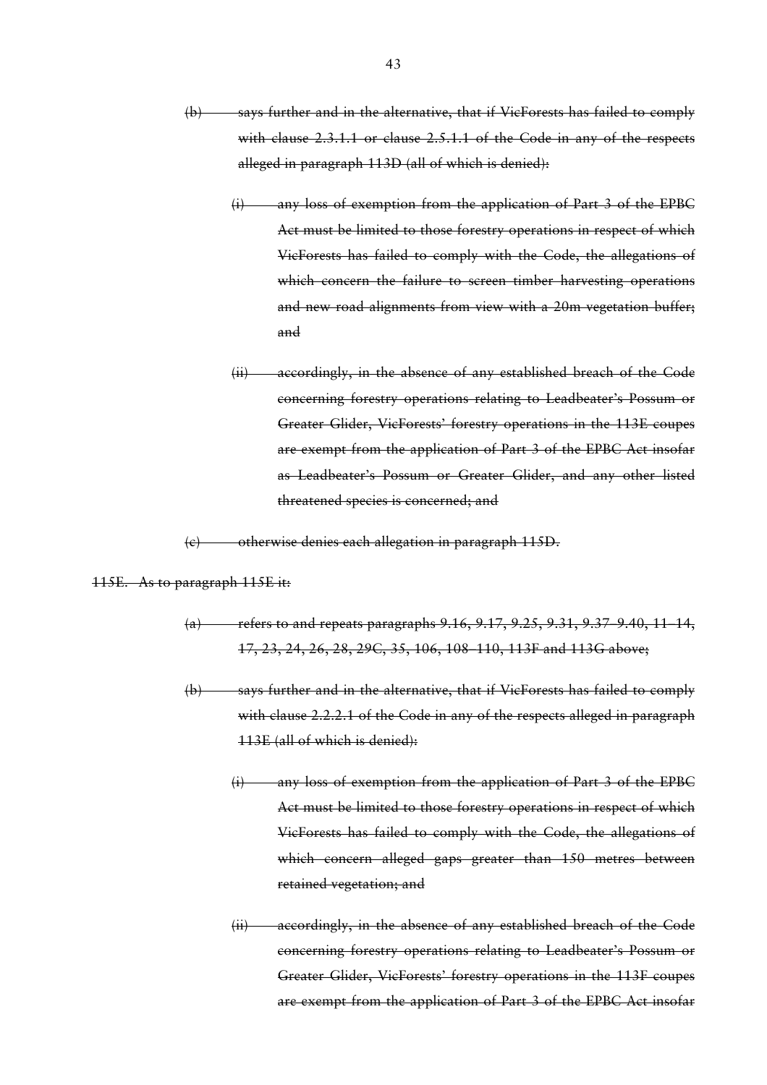- (b) says further and in the alternative, that if VicForests has failed to comply with clause 2.3.1.1 or clause 2.5.1.1 of the Code in any of the respects alleged in paragraph 113D (all of which is denied):
	- (i) any loss of exemption from the application of Part 3 of the EPBC Act must be limited to those forestry operations in respect of which VicForests has failed to comply with the Code, the allegations of which concern the failure to screen timber harvesting operations and new road alignments from view with a 20m vegetation buffer; and
	- (ii) accordingly, in the absence of any established breach of the Code concerning forestry operations relating to Leadbeater's Possum or Greater Glider, VicForests' forestry operations in the 113E coupes are exempt from the application of Part 3 of the EPBC Act insofar as Leadbeater's Possum or Greater Glider, and any other listed threatened species is concerned; and

(c) otherwise denies each allegation in paragraph 115D.

115E. As to paragraph 115E it:

- (a) refers to and repeats paragraphs 9.16, 9.17, 9.25, 9.31, 9.37–9.40, 11–14, 17, 23, 24, 26, 28, 29C, 35, 106, 108–110, 113F and 113G above;
- (b) says further and in the alternative, that if VicForests has failed to comply with clause 2.2.2.1 of the Code in any of the respects alleged in paragraph 113E (all of which is denied):
	- (i) any loss of exemption from the application of Part 3 of the EPBC Act must be limited to those forestry operations in respect of which VicForests has failed to comply with the Code, the allegations of which concern alleged gaps greater than 150 metres between retained vegetation; and
	- (ii) accordingly, in the absence of any established breach of the Code concerning forestry operations relating to Leadbeater's Possum or Greater Glider, VicForests' forestry operations in the 113F coupes are exempt from the application of Part 3 of the EPBC Act insofar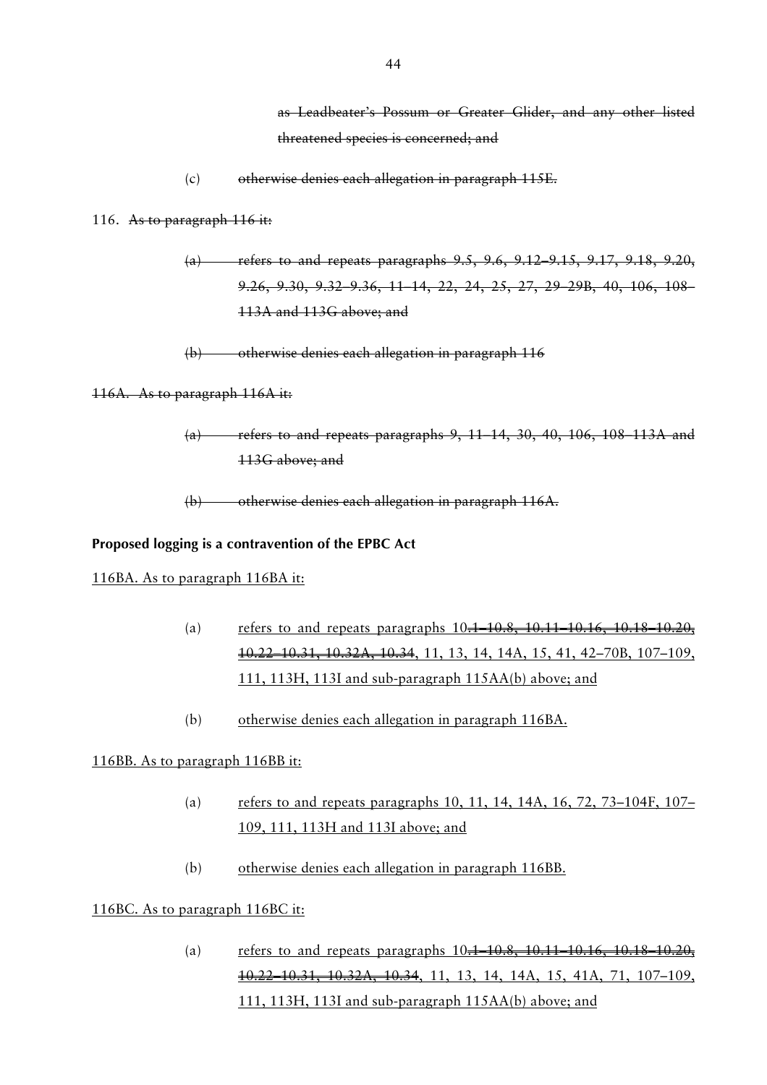as Leadbeater's Possum or Greater Glider, and any other listed threatened species is concerned; and

(c) otherwise denies each allegation in paragraph 115E.

116. As to paragraph 116 it:

- (a) refers to and repeats paragraphs 9.5, 9.6, 9.12–9.15, 9.17, 9.18, 9.20, 9.26, 9.30, 9.32–9.36, 11–14, 22, 24, 25, 27, 29–29B, 40, 106, 108– 113A and 113G above; and
- (b) otherwise denies each allegation in paragraph 116

#### 116A. As to paragraph 116A it:

 $(a)$  refers to and repeats paragraphs 9, 11–14, 30, 40, 106, 108–113A and 113G above; and

(b) otherwise denies each allegation in paragraph 116A.

# **Proposed logging is a contravention of the EPBC Act**

#### 116BA. As to paragraph 116BA it:

- (a) refers to and repeats paragraphs  $10.1$ –10.8, 10.11–10.16, 10.18–10.20, 10.22–10.31, 10.32A, 10.34, 11, 13, 14, 14A, 15, 41, 42–70B, 107–109, 111, 113H, 113I and sub-paragraph 115AA(b) above; and
- (b) otherwise denies each allegation in paragraph 116BA.

#### 116BB. As to paragraph 116BB it:

- (a) refers to and repeats paragraphs 10, 11, 14, 14A, 16, 72, 73–104F, 107– 109, 111, 113H and 113I above; and
- (b) otherwise denies each allegation in paragraph 116BB.

# 116BC. As to paragraph 116BC it:

(a) refers to and repeats paragraphs  $10.1, 10.8, 10.11, 10.16, 10.18, 10.20$ , 10.22–10.31, 10.32A, 10.34, 11, 13, 14, 14A, 15, 41A, 71, 107–109, 111, 113H, 113I and sub-paragraph 115AA(b) above; and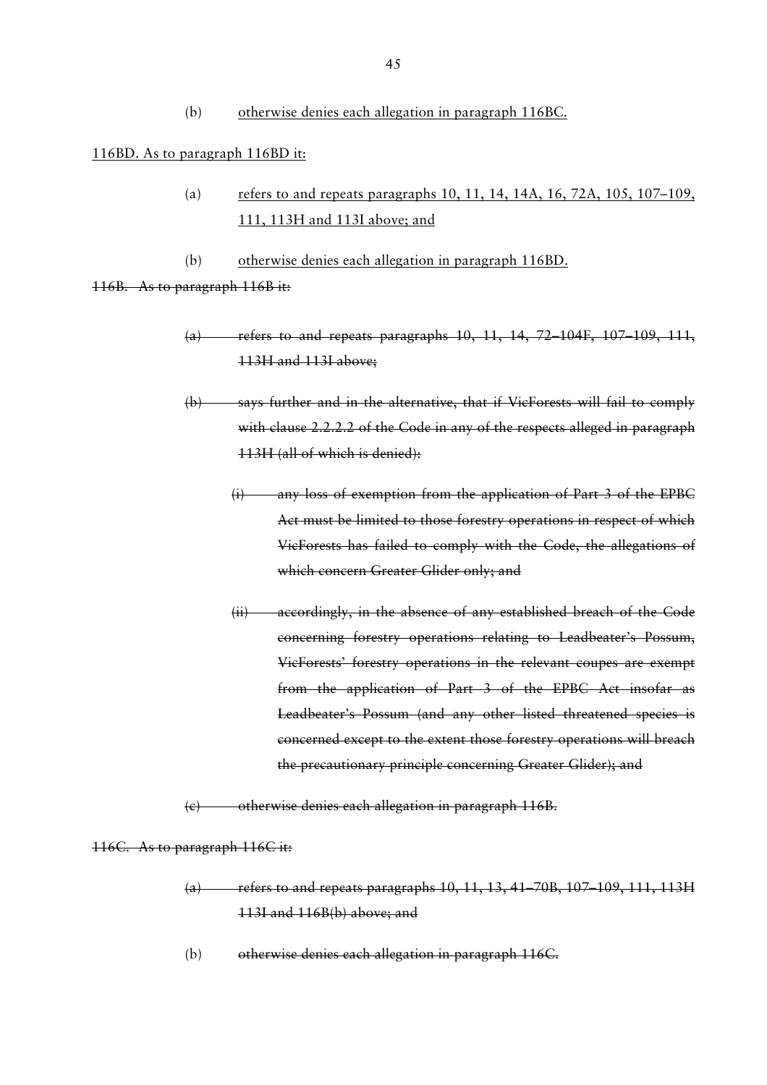(b) otherwise denies each allegation in paragraph 116BC.

### 116BD. As to paragraph 116BD it:

- (a) refers to and repeats paragraphs 10, 11, 14, 14A, 16, 72A, 105, 107–109, 111, 113H and 113I above; and
- (b) otherwise denies each allegation in paragraph 116BD.

116B. As to paragraph 116B it:

- (a) refers to and repeats paragraphs 10, 11, 14, 72 104F, 107 109, 111, 113H and 113I above;
- (b) says further and in the alternative, that if VicForests will fail to comply with clause 2.2.2.2 of the Code in any of the respects alleged in paragraph 113H (all of which is denied):
	- (i) any loss of exemption from the application of Part 3 of the EPBC Act must be limited to those forestry operations in respect of which VicForests has failed to comply with the Code, the allegations of which concern Greater Glider only; and
	- (ii) accordingly, in the absence of any established breach of the Code concerning forestry operations relating to Leadbeater's Possum, VicForests' forestry operations in the relevant coupes are exempt from the application of Part 3 of the EPBC Act insofar as Leadbeater's Possum (and any other listed threatened species is concerned except to the extent those forestry operations will breach the precautionary principle concerning Greater Glider); and
- (c) otherwise denies each allegation in paragraph 116B.

### 116C. As to paragraph 116C it:

- (a) refers to and repeats paragraphs 10, 11, 13, 41–70B, 107–109, 111, 113H 113I and 116B(b) above; and
- (b) otherwise denies each allegation in paragraph 116C.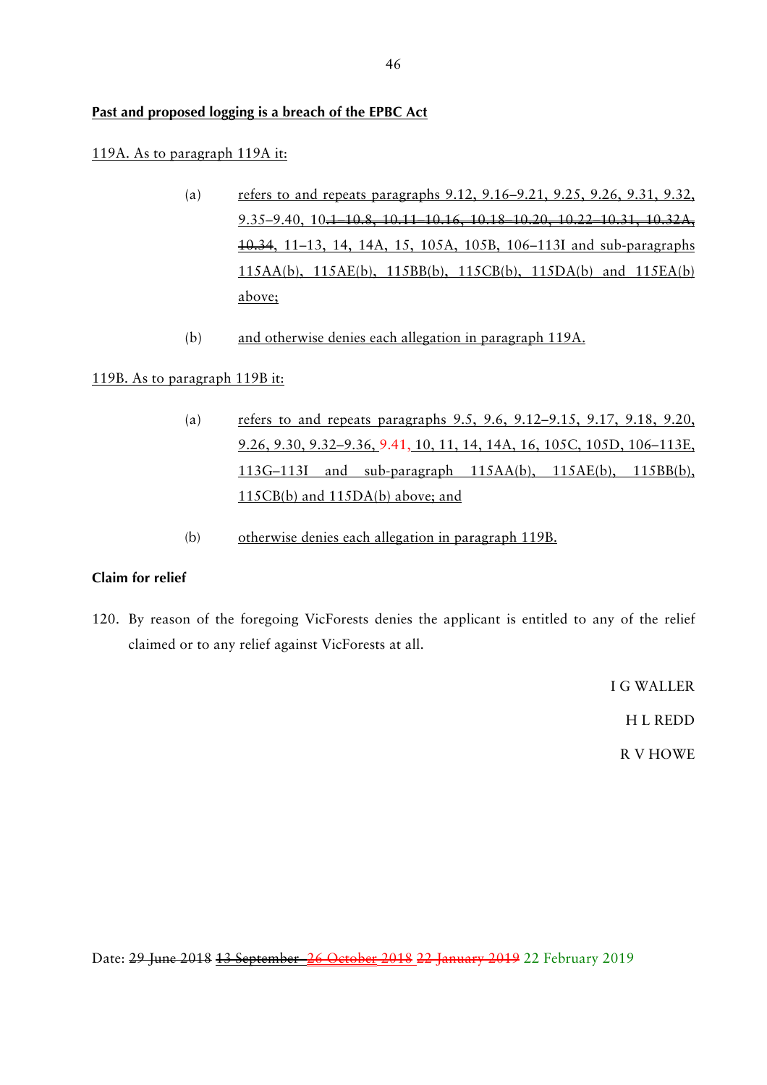# **Past and proposed logging is a breach of the EPBC Act**

### 119A. As to paragraph 119A it:

- (a) refers to and repeats paragraphs  $9.12, 9.16-9.21, 9.25, 9.26, 9.31, 9.32$ , 9.35–9.40, 10.1–10.8, 10.11–10.16, 10.18–10.20, 10.22–10.31, 10.32A, 10.34, 11–13, 14, 14A, 15, 105A, 105B, 106–113I and sub-paragraphs 115AA(b), 115AE(b), 115BB(b), 115CB(b), 115DA(b) and 115EA(b) above;
- (b) and otherwise denies each allegation in paragraph 119A.

# 119B. As to paragraph 119B it:

- (a) refers to and repeats paragraphs 9.5, 9.6, 9.12–9.15, 9.17, 9.18, 9.20, 9.26, 9.30, 9.32–9.36, 9.41, 10, 11, 14, 14A, 16, 105C, 105D, 106–113E, 113G–113I and sub-paragraph 115AA(b), 115AE(b), 115BB(b), 115CB(b) and 115DA(b) above; and
- (b) otherwise denies each allegation in paragraph 119B.

# **Claim for relief**

120. By reason of the foregoing VicForests denies the applicant is entitled to any of the relief claimed or to any relief against VicForests at all.

I G WALLER

H L REDD

R V HOWE

Date: 29 June 2018 13 September 26 October 2018 22 January 2019 22 February 2019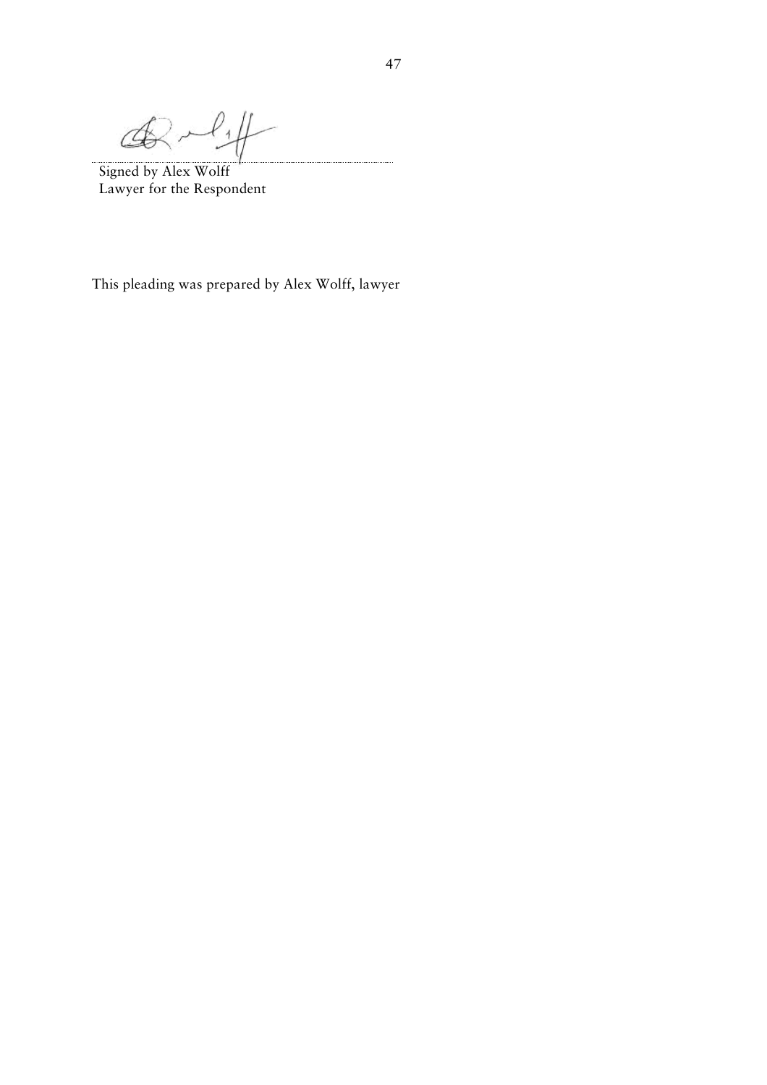$\mathcal{A}_{1}$  $\mathcal{A}$ 

Signed by Alex Wolff Lawyer for the Respondent

This pleading was prepared by Alex Wolff, lawyer